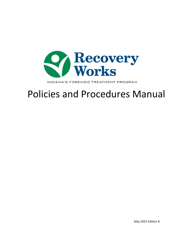

INDIANA'S FORENSIC TREATMENT PROGRAM

# Policies and Procedures Manual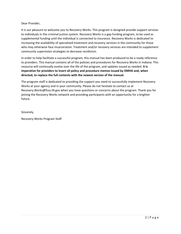#### Dear Provider,

It is our pleasure to welcome you to Recovery Works. This program is designed provide support services to individuals in the criminal justice system. Recovery Works is a gap funding program, to be used as supplemental funding until the individual is connected to insurance. Recovery Works is dedicated to increasing the availability of specialized treatment and recovery services in the community for those who may otherwise face incarceration. Treatment and/or recovery services are intended to supplement community supervision strategies to decrease recidivism.

In order to help facilitate a successful program, this manual has been produced to be a ready reference to providers. This manual contains all of the policies and procedures for Recovery Works in Indiana. This resource will continually evolve over the life of the program, and updates issued as needed. **It is imperative for providers to insert all policy and procedure memos issued by DMHA and, when directed, to replace the full contents with the newest version of the manual.** 

The program staff is dedicated to providing the support you need to successfully implement Recovery Works at your agency and in your community. Please do not hesitate to contact us at Recovery.Works@fssa.IN.gov when you have questions or concerns about the program. Thank you for joining the Recovery Works network and providing participants with an opportunity for a brighter future.

Sincerely,

Recovery Works Program Staff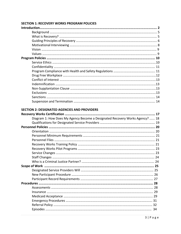# **SECTION 1: RECOVERY WORKS PROGRAM POLICIES**

| <b>SECTION 2: DESIGNATED AGENCIES AND PROVIDERS</b>                          |  |
|------------------------------------------------------------------------------|--|
|                                                                              |  |
| Diagram 1: How Does My Agency Become a Designated Recovery Works Agency?  18 |  |
|                                                                              |  |
|                                                                              |  |
|                                                                              |  |
|                                                                              |  |
|                                                                              |  |
|                                                                              |  |
|                                                                              |  |
|                                                                              |  |
|                                                                              |  |
|                                                                              |  |
|                                                                              |  |
|                                                                              |  |
|                                                                              |  |
|                                                                              |  |
|                                                                              |  |
|                                                                              |  |
|                                                                              |  |
|                                                                              |  |
|                                                                              |  |
|                                                                              |  |
|                                                                              |  |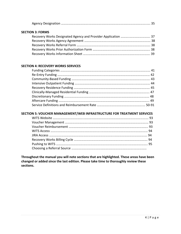|--|--|

#### **SECTION 3: FORMS**

#### **SECTION 4: RECOVERY WORKS SERVICES**

#### **SECTION 5: VOUCHER MANAGEMENT/WEB INFRASTRUCTURE FOR TREATMENT SERVICES**

**Throughout the manual you will note sections that are highlighted. These areas have been changed or added since the last edition. Please take time to thoroughly review these sections.**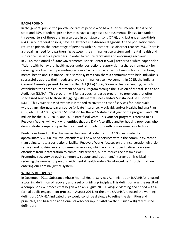#### **BACKGROUND**

In the general public, the prevalence rate of people who have a serious mental illness or of state and 45% of federal prison inmates have a diagnosed serious mental illness. Just under three-quarters of those are incarcerated in our state prisons (74%), and just under two-thirds (64%) in our federal prisons, have a substance use disorder diagnosis. Of the population who return to prison, the percentage of persons with a substance use disorder reaches 75%. There is a prevailing need for a partnership between the criminal justice system and mental health and substance use service providers, in order to reduce recidivism and encourage recovery. In 2012, the Council of State Governments Justice Center (CSGJC) prepared a white paper titled "Adults with behavioral health needs under correctional supervision: a shared framework for reducing recidivism and promoting recovery," which provided an outline on how corrections, mental health and substance use disorder systems can share a commitment to help individuals successfully address their needs and avoid criminal justice involvement. In 2015, the Indiana General Assembly passed House Enrolled Act (HEA) 1006, "Criminal Justice Funding," which established the Forensic Treatment Services Program through the Division of Mental Health and Addiction (DMHA). This program will fund a voucher-based program to providers that offer specialized services to those struggling with mental illness and/or Substance-Use Disorder (SUD). This voucher-based system is intended to cover the cost of services for individuals without any alternate payer source (private insurance, Medicaid, and/or Healthy Indiana Plan (HIP) etc.). HEA 1006 granted \$10 million for the 2016 state fiscal year of the program, and \$20 million for the 2017, 2018, and 2019 state fiscal years. This voucher program, referred to as Recovery Works, will work with entities that are DMHA certified and/or housing providers who demonstrate competency in the treatment of populations with criminogenic risk factors.

Predictions based on the changes in the criminal code from HEA 1006 estimate that approximately 6,500 low level offenders will now need services within the community, rather than being sent to a correctional facility. Recovery Works focuses on pre-incarceration diversion services and post-incarceration re-entry services, which not only hopes to divert low-level offenders from incarceration to community services, but to reduce recidivism as well. Promoting recovery through community support and treatment/intervention is critical in reducing the number of persons with mental health and/or Substance-Use Disorder that are entering our criminal justice system.

#### **WHAT IS RECOVERY?**

In December 2011, Substance Abuse Mental Health Services Administration (SAMHSA) released a working definition of recovery and a set of guiding principles. This definition was the result of a comprehensive process that began with an August 2010 Dialogue Meeting and ended with a formal public engagement process in August 2011. At the time SAMHSA released the working definition, SAMHSA indicated they would continue dialogue to refine the definition and principles, and based on additional stakeholder input, SAMHSA then issued a slightly revised definition: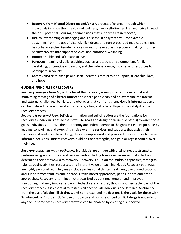- **Recovery from Mental Disorders and/or s:** A process of change through which individuals improve their health and wellness, live a self-directed life, and strive to reach their full potential. Four major dimensions that support a life in recovery:
- **Health:** overcoming or managing one's disease(s) or symptoms—for example, abstaining from the use of alcohol, illicit drugs, and non-prescribed medications if one has Substance-Use Disorder problem—and for everyone in recovery, making informed healthy choices that support physical and emotional wellbeing.
- **Home:** a stable and safe place to live.
- **Purpose:** meaningful daily activities, such as a job, school, volunteerism, family caretaking, or creative endeavors, and the independence, income, and resources to participate in society.
- **Community:** relationships and social networks that provide support, friendship, love, and hope.

#### **GUIDING PRINCIPLES OF RECOVERY**

*Recovery emerges from hope:* The belief that recovery is real provides the essential and motivating message of a better future: one where people can and do overcome the internal and external challenges, barriers, and obstacles that confront them. Hope is internalized and can be fostered by peers, families, providers, allies, and others. Hope is the catalyst of the recovery process.

*Recovery is person-driven:* Self-determination and self-direction are the foundations for recovery as individuals define their own life goals and design their unique path(s) towards those goals. Individuals optimize their autonomy and independence to the greatest extent possible by leading, controlling, and exercising choice over the services and supports that assist their recovery and resilience. In so doing, they are empowered and provided the resources to make informed decisions, initiate recovery, build on their strengths, and gain or regain control over their lives.

*Recovery occurs via many pathways:* Individuals are unique with distinct needs, strengths, preferences, goals, cultures, and backgrounds including trauma experiences that affect and determine their pathway(s) to recovery. Recovery is built on the multiple capacities, strengths, talents, coping abilities, resources, and inherent value of each individual. Recovery pathways are highly personalized. They may include professional clinical treatment, use of medications, and support from families and in schools, faith-based approaches, peer support, and other approaches. Recovery is non-linear, characterized by continual growth and improved functioning that may involve setbacks. Setbacks are a natural, though not inevitable, part of the recovery process, it is essential to foster resilience for all individuals and families. Abstinence from the use of alcohol, illicit drugs, and non-prescribed medications is the goals for those with Substance-Use Disorder (SUD). Use of tobacco and non-prescribed or illicit drugs is not safe for anyone. In some cases, recovery pathways can be enabled by creating a supportive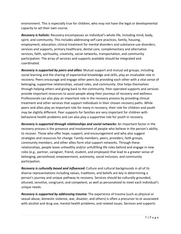environment. This is especially true for children, who may not have the legal or developmental capacity to set their own course.

*Recovery is holistic:* Recovery encompasses an individual's whole life, including mind, body, spirit, and community. This includes addressing self-care practices, family, housing, employment, education, clinical treatment for mental disorders and substance-use disorders, services and supports, primary healthcare, dental care, complementary and alternative services, faith, spirituality, creativity, social networks, transportation, and community participation. The array of services and supports available should be integrated and coordinated.

*Recovery is supported by peers and allies:* Mutual support and mutual aid groups, including social learning and the sharing of experiential knowledge and skills, play an invaluable role in recovery. Peers encourage and engage other peers by providing each other with a vital sense of belonging, supportive relationships, valued roles, and community. One helps themselves through helping others and giving back to the community. Peer-operated supports and services provide important resources to assist people along their journeys of recovery and wellness. Professionals can also play an important role in the recovery process by providing clinical treatment and other services that support individuals in their chosen recovery paths. While peers and allies play an important role for many in recovery, their role for children and youth may be slightly different. Peer supports for families are very important for children with behavioral health problems and can also play a supportive role for youth in recovery.

*Recovery is supported through relationships and social networks:* An important factor in the recovery process is the presence and involvement of people who believe in the person's ability to recover. Those who offer hope, support, and encouragement and who also suggest strategies and resources for change. Family members, peers, providers, faith groups, community members, and other allies form vital support networks. Through these relationships, people leave unhealthy and/or unfulfilling life roles behind and engage in new roles (e.g., partner, caregiver, friend, student, and employee) that lead to a greater sense of belonging, personhood, empowerment, autonomy, social inclusion, and community participation.

*Recovery is culturally based and influenced:* Culture and cultural backgrounds in all of its diverse representations including values, traditions, and beliefs are key in determining a person's journey and unique pathway to recovery. Services should be culturally grounded, attuned, sensitive, congruent, and competent, as well as personalized to meet each individual's unique needs.

*Recovery is supported by addressing trauma:* The experience of trauma (such as physical or sexual abuse, domestic violence, war, disaster, and others) is often a precursor to or associated with alcohol and drug use, mental health problems, and related issues. Services and supports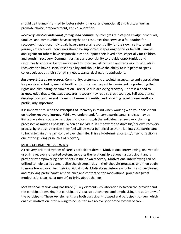should be trauma-informed to foster safety (physical and emotional) and trust, as well as promote choice, empowerment, and collaboration.

*Recovery involves individual, family, and community strengths and responsibility:* Individuals, families, and communities have strengths and resources that serve as a foundation for recovery. In addition, individuals have a personal responsibility for their own self-care and journeys of recovery. Individuals should be supported in speaking for his or herself. Families and significant others have responsibilities to support their loved ones, especially for children and youth in recovery. Communities have a responsibility to provide opportunities and resources to address discrimination and to foster social inclusion and recovery. Individuals in recovery also have a social responsibility and should have the ability to join peers to speak collectively about their strengths, needs, wants, desires, and aspirations.

*Recovery is based on respect:* Community, systems, and a societal acceptance and appreciation for people affected by mental health and substance use problems—including protecting their rights and eliminating discrimination—are crucial in achieving recovery. There is a need to acknowledge that taking steps towards recovery may require great courage. Self-acceptance, developing a positive and meaningful sense of identity, and regaining belief in one's-self are particularly important.

It is important to keep the **Principles of Recovery** in mind when working with your participant on his/her recovery journey. While we understand, for some participants, choices may be limited; we do encourage participant choice through the individualized recovery planning processes as much as possible. When an individual is empowered to drive his/her own recovery process by choosing services they feel will be most beneficial to them, it allows the participant to begin to gain or regain control over their life. This self-determination and/or self-direction is one of the guiding principles of recovery.

#### **MOTIVATIONAL INTERVIEWING**

A recovery-oriented system of care is participant driven. Motivational Interviewing, one vehicle used in a recovery-oriented system, supports the relationship between a participant and a provider by empowering participants in their own recovery. Motivational interviewing can be utilized to help participants realize the discrepancies in their thought processes and then begin to move toward reaching their individual goals. Motivational interviewing focuses on exploring and resolving participants' ambivalence and centers on the motivational processes (what motivates this particular person) to bring about change.

Motivational Interviewing has three (3) key elements: collaboration between the provider and the participant, evoking the participant's ideas about change, and emphasizing the autonomy of the participant. These key elements are both participant-focused and participant-driven, which enables motivation interviewing to be utilized in a recovery-oriented system of care.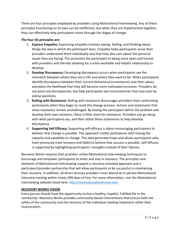There are four principles employed by providers using Motivational Interviewing. Any of these principles functioning on its own can be ineffective, but when they are implemented together, they can effectively help participants move through the stages of change.

#### **The four (4) principles are:**

- 1. **Express Empathy:** Expressing empathy involves seeing, feeling, and thinking about things the way in which the participant does. Empathy helps participants sense their providers understand them individually and that they also care about the personal issues they are facing. This promotes the participant to being more open and honest with providers and thereby allowing for a more workable and helpful relationship to develop.
- 2. **Develop Discrepancy:** Developing discrepancy occurs when participants see the mismatch between where they are in life and where they want to be. When participants identify discrepancy between their current behaviors/circumstances and their values and plans the likelihood that they will become more motivated increases. Providers do not point out discrepancies, but help participants see inconsistencies that may exist by asking questions.
- 3. **Rolling with Resistance:** Rolling with resistance discourages providers from confronting participants when they begin to resist the change process. Actions and statements that show resistance remain unchallenged. By having the participant define the problem and develop their own solutions, there is little room for resistance. Providers can go along with what participants say, and then utilize these statements to help develop discrepancy.
- 4. **Supporting Self Efficacy:** Supporting self-efficacy is about encouraging participants to believer that change is possible. This approach credits participants with having the capacity and capability to change. This idea generates hope and allows participants who have previously tried recovery and failed to believe that success is possible. Self-efficacy is supported by highlighting participants' strengths instead of their failures.

Recovery Works requires that providers utilize Motivational Interviewing techniques to encourage and empower participants to enter and stay in recovery. The principles and elements of Motivational Interviewing support a recovery-oriented approach and a participant/provider partnership that will allow participants to be successful in maintaining their recovery. In addition, all direct services providers must attend an in person Motivational Interview training within ninety (90) days of hire. For more information, visit the Motivational Interviewing website listed here: [http://motivationalinterview.net/.](http://motivationalinterview.net/)

#### **RECOVERY WORKS VISION**

Every person should have the opportunity to live a healthy, hopeful, fulfilled life in the community. Recovery Works provides community-based interventions that ensure both the safety of the community and the recovery of the individual needing treatment rather than incarceration.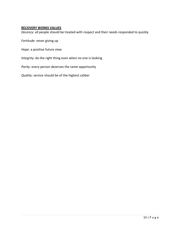#### **RECOVERY WORKS VALUES**

*Decency:* all people should be treated with respect and their needs responded to quickly

*Fortitude:* never giving up

*Hope:* a positive future view

*Integrity:* do the right thing even when no one is looking

*Parity:* every person deserves the same opportunity

*Quality:* service should be of the highest caliber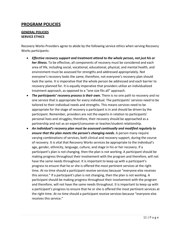# **PROGRAM POLICIES**

#### **GENERAL POLICIES SERVICE ETHICS**

Recovery Works Providers agree to abide by the following service ethics when serving Recovery Works participants:

- *Effective recovery support and treatment attend to the whole person, not just his or her illness.* To be effective, all components of recovery must be considered and each area of life, including social, vocational, educational, physical, and mental health, and environment must be assessed for strengths and addressed appropriately. Not everyone's recovery looks the same; therefore, not everyone's recovery plan should look the same. It is imperative that the whole person be addressed and each barrier to recovery planned for. It is equally imperative that providers utilize an individualized treatment approach, as opposed to a "one size fits all" approach.
- *The participants' recovery process is their own.* There is no one path to recovery and no one service that is appropriate for every individual. The participants' services need to be tailored to their individual needs and strengths. This means services need to be appropriate for the stage of recovery a participant is in and should be driven by the participant. Remember, providers are not the experts in relation to participants' personal lives and struggles; therefore, their recovery should be approached as a partnership and not as an expert/consumer or teacher/student relationship.
- *An individual's recovery plan must be assessed continually and modified regularly to ensure that the plan meets the person's changing needs.* A person many require varying combinations of services, both clinical and recovery support, during the course of recovery. It is vital that Recovery Works services be appropriate to the individual's age, gender, ethnicity, language, culture, and stage in his or her recovery. If a participant's plan is not changing, then the plan is not working. A participant should be making progress throughout their involvement with the program and therefore, will not have the same needs throughout. It is important to keep up with a participant's progress to ensure that he or she is offered the most pertinent services at the right time. At no time should a participant receive services because "everyone else receives this service." If a participant's plan is not changing, then the plan is not working. A participant should be making progress throughout their involvement with the program and therefore, will not have the same needs throughout. It is important to keep up with a participant's progress to ensure that he or she is offered the most pertinent services at the right time. At no time should a participant receive services because "everyone else receives this service."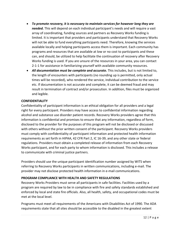- *To promote recovery, it is necessary to maintain services for however long they are needed.* This will depend on each individual participant's needs and will require a vast array of coordinating, funding sources and partners as Recovery Works funding is limited. It is important that providers and participants understand that Recovery Works will not be able to fund everything participants need. Therefore, knowing the services available locally and helping participants access them is important. Each community has programs and resources that are available at low or no cost to participants and these can, and should, be utilized to help facilitate the continuation of recovery after Recovery Works funding is used. If you are unsure of the resources in your area, you can contact 2-1-1 for assistance in familiarizing yourself with available community resources.
- *All documentation must be complete and accurate.* This includes, but is not limited to, the length of encounters with participants (no rounding up is permitted, only actual times will be recorded), who rendered the service, individual contribution to the service etc. If documentation is not accurate and complete, it can be deemed fraud and may result in termination of contract and/or prosecution. In addition, files must be organized and legible.

#### **CONFIDENTIALITY**

Confidentiality of participant information is an ethical obligation for all providers and a legal right for every participant. Providers may have access to confidential information regarding alcohol and substance use disorder patient records. Recovery Works providers agree that this information is confidential and promises to ensure that any information, regardless of form, disclosed to the provider for the purposes of this program will not be disclosed or discussed with others without the prior written consent of the participant. Recovery Works providers must comply with confidentiality of participant information and protected health information requirements as set forth in HIPAA, 42 CFR Part 2, IC 16-39, and any other state or federal regulations. Providers must obtain a completed release of information from each Recovery Works participant, and for each party to whom information is disclosed. This includes a release to communicate with criminal justice partners.

Providers should use the unique participant identification number assigned by WITS when referring to Recovery Works participants in written communications, including e-mail. The provider may not disclose protected health information in e-mail communications.

#### **PROGRAM COMPLIANCE WITH HEALTH AND SAFETY REGULATIONS**

Recovery Works Providers must serve all participants in safe facilities. Facilities used by a program are required by law to be in compliance with fire and safety standards established and enforced by local and state fire officials. Also, all health, safety, and occupational codes must be met at the local level.

Programs must meet all requirements of the Americans with Disabilities Act of 1990. The ADA requirements state that all sites should be accessible to the disabled in the greatest extent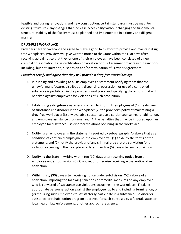feasible and during renovations and new construction, certain standards must be met. For existing structures, any changes that increase accessibility without changing the fundamental structural viability of the facility must be planned and implemented in a timely and diligent manner.

#### **DRUG-FREE WORKPLACE**

Providers hereby covenant and agree to make a good faith effort to provide and maintain drug free workplaces. Providers will give written notice to the State within ten (10) days after receiving actual notice that they or one of their employees have been convicted of a new criminal drug violation. False certification or violation of this Agreement may result in sanctions including, but not limited to, suspension and/or termination of Provider Agreement.

#### *Providers certify and agree that they will provide a drug-free workplace by:*

- A. Publishing and providing to all its employees a statement notifying them that the unlawful manufacture, distribution, dispensing, possession, or use of a controlled substance is prohibited in the provider's workplace and specifying the actions that will be taken against employees for violations of such prohibition.
- B. Establishing a drug-free awareness program to inform its employees of (1) the dangers of substance-use disorder in the workplace; (2) the provider's policy of maintaining a drug-free workplace; (3) any available substance-use disorder counseling, rehabilitation, and employee assistance programs; and (4) the penalties that may be imposed upon an employee for substance-use disorder violations occurring in the workplace.
- C. Notifying all employees in the statement required by subparagraph (A) above that as a condition of continued employment, the employee will (1) abide by the terms of the statement; and (2) notify the provider of any criminal drug statute conviction for a violation occurring in the workplace no later than five (5) days after such conviction.
- D. Notifying the State in writing within ten (10) days after receiving notice from an employee under subdivision (C)(2) above, or otherwise receiving actual notice of such conviction.
- E. Within thirty (30) days after receiving notice under subdivision (C)(2) above of a conviction, imposing the following sanctions or remedial measures on any employee who is convicted of substance use violations occurring in the workplace: (1) taking appropriate personnel action against the employee, up to and including termination; or (2) requiring such employees to satisfactorily participate in a substance-use disorder assistance or rehabilitation program approved for such purposes by a federal, state, or local health, law enforcement, or other appropriate agency.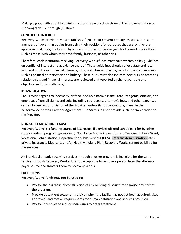Making a good faith effort to maintain a drug-free workplace through the implementation of subparagraphs (A) through (E) above.

#### **CONFLICT OF INTEREST**

Recovery Works providers must establish safeguards to prevent employees, consultants, or members of governing bodies from using their positions for purposes that are, or give the appearance of being, motivated by a desire for private financial gain for themselves or others, such as those with whom they have family, business, or other ties.

Therefore, each institution receiving Recovery Works funds must have written policy guidelines on conflict of interest and avoidance thereof. These guidelines should reflect state and local laws and must cover financial interests, gifts, gratuities and favors, nepotism, and other areas such as political participation and bribery. These rules must also indicate how outside activities, relationships, and financial interests are reviewed and reported by the responsible and objective institution official(s).

#### **IDEMNIFICATION**

The Provider agrees to indemnify, defend, and hold harmless the State, its agents, officials, and employees from all claims and suits including court costs, attorney's fees, and other expenses caused by any act or omission of the Provider and/or its subcontractors, if any, in the performance of their Provider Agreement. The State shall not provide such indemnification to the Provider.

#### **NON-SUPPLANTATION CLAUSE**

Recovery Works is a funding source of last resort. If services offered can be paid for by other state or federal programs/grants (e.g., Substance Abuse Prevention and Treatment Block Grant, Vocational Rehabilitation, Department of Child Services (DCS), Veterans Administration, etc.), private insurance, Medicaid, and/or Healthy Indiana Plan, Recovery Works cannot be billed for the services.

An individual already receiving services through another program is ineligible for the same services through Recovery Works. It is not acceptable to remove a person from the alternate payer source and transfer them to Recovery Works.

#### **EXCLUSIONS**

Recovery Works funds may not be used to:

- Pay for the purchase or construction of any building or structure to house any part of the program.
- Provide outpatient treatment services when the facility has not yet been acquired, sited, approved, and met all requirements for human habitation and services provision.
- Pay for incentives to induce individuals to enter treatment.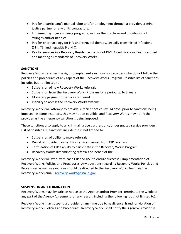- Pay for a participant's manual labor and/or employment through a provider, criminal justice partner or any of its contractors.
- Implement syringe exchange programs, such as the purchase and distribution of syringes and/or needles.
- Pay for pharmacology for HIV antiretroviral therapy, sexually transmitted infections (STI), TB, and hepatitis B and C.
- Pay for services in a Recovery Residence that is not DMHA Certifications Team certified and meeting all standards of Recovery Works.

#### **SANCTIONS**

Recovery Works reserves the right to implement sanctions for providers who do not follow the policies and procedures of any aspect of the Recovery Works Program. Possible list of sanctions includes but not limited to:

- Suspension of new Recovery Works referrals
- Suspension from the Recovery Works Program for a period up to 3 years
- Monetary payment of services rendered
- Inability to access the Recovery Works systems

Recovery Works will attempt to provide sufficient notice (ex. 14 days) prior to sanctions being imposed. In some instances, this may not be possible, and Recovery Works may notify the provider as the emergency sanction is being imposed.

These sanctions also apply to all criminal justice partners and/or designated service providers. List of possible CJP sanctions include but is not limited to:

- Suspension of ability to make referrals
- Denial of provider payment for services derived from CJP referrals
- Termination of CJP's ability to participate in the Recovery Works Program
- Recovery Works disseminating referrals on behalf of the CJP

Recovery Works will work with each CJP and DSP to ensure successful implementation of Recovery Works Policies and Procedures. Any questions regarding Recovery Works Policies and Procedures as well as sanctions should be directed to the Recovery Works Team via the Recovery Works email: [recovery.works@fssa.in.gov.](mailto:recovery.works@fssa.in.gov)

#### **SUSPENSION AND TERMINATION**

Recovery Works may, by written notice to the Agency and/or Provider, terminate the whole or any part of the Agency Agreement for any reason, including the following (but not limited to):

Recovery Works may suspend a provider at any time due to negligence, fraud, or violation of Recovery Works Policies and Procedures. Recovery Works shall notify the Agency/Provider in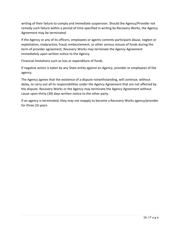writing of their failure to comply and immediate suspension. Should the Agency/Provider not remedy such failure within a period of time specified in writing by Recovery Works, the Agency Agreement may be terminated.

If the Agency or any of its officers, employees or agents commits participant abuse, neglect or exploitation, malpractice, fraud, embezzlement, or other serious misuse of funds during the term of provider agreement, Recovery Works may terminate the Agency Agreement immediately upon written notice to the Agency.

Financial limitations such as loss or expenditure of funds.

If negative action is taken by any State entity against an Agency, provider or employees of the agency.

The Agency agrees that the existence of a dispute notwithstanding, will continue, without delay, to carry out all its responsibilities under the Agency Agreement that are not affected by the dispute. Recovery Works or the Agency may terminate the Agency Agreement without cause upon thirty (30) days written notice to the other party.

If an agency is terminated, they may not reapply to become a Recovery Works agency/provider for three (3) years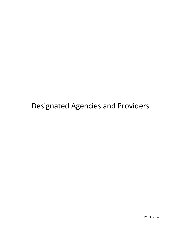Designated Agencies and Providers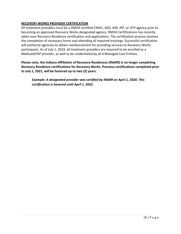#### **RECOVERY WORKS PROVIDER CERTIFICATION**

All treatment providers must be a DMHA certified CMHC, ASO, ASR, PIP, or OTP agency prior to becoming an approved Recovery Works designated agency. DMHA Certifications has recently taken over Recovery Residence certification and applications. The certification process involves the completion of necessary forms and attending all required trainings. Successful certification will authorize agencies to obtain reimbursement for providing services to Recovery Works participants. As of July 1, 2019, all treatment providers are required to be enrolled as a Medicaid/HIP provider, as well as be credentialed by all 4 Managed Care Entities.

**Please note, the Indiana Affiliation of Recovery Residences (INARR) is no longer completing Recovery Residence certifications for Recovery Works. Previous certifications completed prior to July 1, 2021, will be honored up to two (2) years.**

*Example: A designated provider was certified by INARR on April 1, 2020. This certification is honored until April 1, 2022.*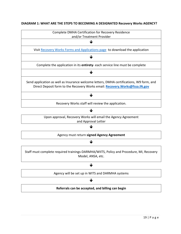# **DIAGRAM 1: WHAT ARE THE STEPS TO BECOMING A DESIGNATED Recovery Works AGENCY?**

| Complete DMHA Certification for Recovery Residence<br>and/or Treatment Provider                                                                                          |
|--------------------------------------------------------------------------------------------------------------------------------------------------------------------------|
| 业                                                                                                                                                                        |
| Visit Recovery Works Forms and Applications page to download the application                                                                                             |
| J                                                                                                                                                                        |
| Complete the application in its entirety- each service line must be complete                                                                                             |
| ↓                                                                                                                                                                        |
| Send application as well as Insurance welcome letters, DMHA certifications, W9 form, and<br>Direct Deposit form to the Recovery Works email: Recovery. Works@fssa.IN.gov |
| ↓                                                                                                                                                                        |
| Recovery Works staff will review the application.                                                                                                                        |
| ↓                                                                                                                                                                        |
| Upon approval, Recovery Works will email the Agency Agreement<br>and Approval Letter                                                                                     |
| ⊍                                                                                                                                                                        |
| Agency must return signed Agency Agreement                                                                                                                               |
| ↓                                                                                                                                                                        |
| Staff must complete required trainings-DARMHA/WIITS, Policy and Procedure, MI, Recovery<br>Model, ANSA, etc.                                                             |
| J                                                                                                                                                                        |
| Agency will be set up in WITS and DARMHA systems                                                                                                                         |
| ↓                                                                                                                                                                        |
| Referrals can be accepted, and billing can begin                                                                                                                         |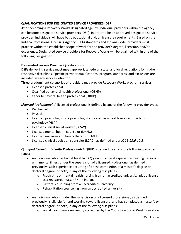#### **QUALIFICATIONS FOR DESIGNATED SERVICE PROVIDERS (DSP)**

After becoming a Recovery Works designated agency, individual providers within the agency can become designated service providers (DSP). In order to be an approved designated service provider, individuals will have basic educational and/or licensure requirements. Based on the Indiana Professional Licensing Agency (IPLA) standards and Indiana Code, providers must practice within the established scope of work for the provider's degree, licensure, and/or experience. Designated service providers for Recovery Works will be qualified within one of the following designations:

#### **Designated Service Provider Qualifications**

DSPs delivering service must meet appropriate federal, state, and local regulations for his/her respective disciplines. Specific provider qualifications, program standards, and exclusions are included in each service definition.

Three predominant categories of providers may provide Recovery Works program services:

- Licensed professional
- Qualified behavioral health professional (QBHP)
- Other behavioral health professional (OBHP)

*Licensed Professional*- A licensed professional is defined by any of the following provider types:

- Psychiatrist
- Physician
- Licensed psychologist or a psychologist endorsed as a health service provider in psychology (HSPP)
- Licensed clinical social worker (LCSW)
- Licensed mental health counselor (LMHC)
- Licensed marriage and family therapist (LMFT)
- Licensed clinical addiction counselor (LCAC), as defined under *IC 25-23.6-10.5*

#### *Qualified Behavioral Health Professional*- A QBHP is defined by any of the following provider types:

- An individual who has had at least two (2) years of clinical experience treating persons with mental illness under the supervision of a licensed professional, as defined previously; such experience occurring after the completion of a master's degree or doctoral degree, or both, in any of the following disciplines:
	- o Psychiatric or mental health nursing from an accredited university, plus a license as a registered nurse (RN) in Indiana
	- o Pastoral counseling from an accredited university
	- o Rehabilitation counseling from an accredited university
- An individual who is under the supervision of a licensed professional, as defined previously, is eligible for and working toward licensure, and has completed a master's or doctoral degree, or both, in any of the following disciplines:
	- $\circ$  Social work from a university accredited by the Council on Social Work Education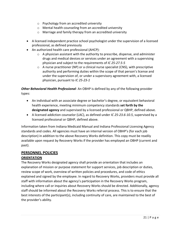- o Psychology from an accredited university
- o Mental health counseling from an accredited university
- o Marriage and family therapy from an accredited university
- A licensed independent practice school psychologist under the supervision of a licensed professional, as defined previously
- An authorized health care professional (AHCP):
	- $\circ$  A physician assistant with the authority to prescribe, dispense, and administer drugs and medical devices or services under an agreement with a supervising physician and subject to the requirements of *IC 25-27.5-5*
	- $\circ$  A nurse practitioner (NP) or a clinical nurse specialist (CNS), with prescriptive authority and performing duties within the scope of that person's license and under the supervision of, or under a supervisory agreement with, a licensed physician, pursuant to *IC 25-23-1*

*Other Behavioral Health Professional*- An OBHP is defined by any of the following provider types:

- An individual with an associate degree or bachelor's degree, or equivalent behavioral health experience, meeting minimum competency standards **set forth by the designated agency** and supervised by a licensed professional or QBHP, defined above.
- A licensed addiction counselor (LAC), as defined under *IC 25-23.6-10.5*, supervised by a licensed professional or QBHP, defined above.

Information taken from Indiana Medicaid Manual and Indiana Professional Licensing Agency standards and codes. All agencies must have an internal version of OBHP's (for each job description) in addition to the above Recovery Works definition. This copy must be readily available upon request by Recovery Works if the provider has employed an OBHP (current and past).

#### **PERSONNEL POLICIES**

#### **ORIENTATION**

The Recovery Works designated agency shall provide an orientation that includes an explanation of mission or purpose statement for support services, job description or duties, review scope of work, overview of written policies and procedures, and code of ethics explained and signed by the employee. In regard to Recovery Works, providers must provide all staff with information about the agency's participation in the Recovery Works program, including where call or inquiries about Recovery Works should be directed. Additionally, agency staff should be informed about the Recovery Works referral process. This is to ensure that the best interests of the participant(s), including continuity of care, are maintained to the best of the provider's ability.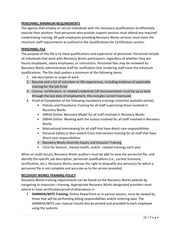#### **PERSONNEL MINIMUM REQUIREMENTS**

The agency shall employ or recruit individuals with the necessary qualifications to effectively execute their position. Paid personnel who provide support services must attend any required credentialing training. All paid employees providing Recovery Works services must meet the minimum staff requirements as outlined in the Qualifications for Certification section.

#### **PERSONNEL FILE**

The purpose of this file is to show qualifications and experience of personnel. Personnel include all individuals that work with Recovery Works participants, regardless of whether they are hourly employees, salary employees, or contractors. Personnel files may be reviewed by Recovery Works administrative staff for verification that rendering staff meet the minimum qualifications. The file shall contain a minimum of the following items:

- 1. Job description or scope of work
- 2. Resume and a list of volunteer or life experiences, including evidence of applicable training for the job hired
- 3. License, certification, or related credentials (all documentation must be up to date through the last date of employment, this includes current licensure)
- 4. Proof of Completion of the following mandatory trainings (checklist available online):
	- Policies and Procedures Training for all staff supervising those involved in Recovery Works
	- DMHA Online: Recovery Model for all staff involved in Recovery Works
	- DMHA Online: Working with the Justice Involved for all staff involved in Recovery **Works**
	- Motivational Interviewing for all staff that have direct care responsibilities
	- Personal Safety or Non-violent Crisis Intervention training for all staff that have direct care responsibilities
	- Recovery Works Diversity Equity and Inclusion Training
	- CEUs for forensic, mental health, and/or -related trainings each year

When an audit occurs, Recovery Works auditors must be able to view the personnel file, and identify the specific job description, personnel qualifications (i.e., current licensure, certification, etc.). Recovery Works reserves the right to disqualify any service(s) for which a personnel file is not complete and accurate as to the service provided.

#### **RECOVERY WORKS TRAINING POLICY**

Recovery Works training requirements can be found on the Recovery Works website by navigating to resources—training. Appropriate Recovery Works designated providers must attend or have certification/proof of attendance in:

• **DARMHA/WITS Training:** Online PowerPoint or in-person session, must be viewed by those that will be performing billing responsibilities and/or entering data. The DARMHA/WITS user manual should also be printed and provided to each employee using the systems.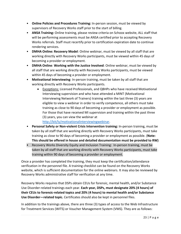- **Online Policies and Procedures Training:** In-person session, must be viewed by supervisors of Recovery Works staff prior to the start of billing.
- **ANSA Training:** Online training, please review criteria on Schoox website, ALL staff that will be performing assessments must be ANSA certified prior to accepting Recovery Works referrals. Staff must recertify prior to certification expiration date to continue rendering services.
- **DMHA Online: Recovery Model**: Online webinar, must be viewed by all staff that are working directly with Recovery Works participants, must be viewed within 45 days of becoming a provider or employment.
- **DMHA Online**: **Working with the Justice Involved**: Online webinar, must be viewed by all staff that are working directly with Recovery Works participants, must be viewed within 45 days of becoming a provider or employment.
- **Motivational Interviewing**: In-person training, must be taken by all staff that are working directly with Recovery Works participants.
	- Exceptions: Licensed Professionals, and QBHPs who have received Motivational Interviewing supervision and who have attended a MINT (Motivational Interviewing Network of Trainers) training within the last three (3) years are eligible to view a webinar in order to verify competence, all others must take training as close to 90 days of becoming a provider or employment as possible. For those that have received MI supervision and training within the past three (3) years, you can view the webinar at
	- [http://bit/ly/motivationalinterviewingwebinar.](http://bit/ly/motivationalinterviewingwebinar)
- **Personal Safety or Non-violent Crisis Intervention training:** In-person training, must be taken by all staff that are working directly with Recovery Works participants, must take training as close to 90 days of becoming a provider or employment as possible. (**Note: This should be offered in house and detailed documentation must be provided to RW)**
- Recovery Works Diversity Equity and Inclusion Training: In-person training, must be taken by all staff that are working directly with Recovery Works participants, must take training within 90 days of becoming a provider or employment.

Once a provider has completed the training, they must keep the certification/attendance verification in the personnel file. A training checklist can be found on the Recovery Works website, which is sufficient documentation for the online webinars. It may also be reviewed by Recovery Works administrative staff for verification at any time.

Recovery Works requires that DSPs obtain CEUs for forensic, mental health, and/or Substance Use Disorder-related trainings each year. **Each year, DSPs, must designate 20% (4 hours) of their CEUs to forensic-related topics and 20% (4 hours) to mental health and/or Substance Use Disorder—related topic.** Certificates should also be kept in personnel files.

In addition to the trainings above, there are three (3) types of access to the Web Infrastructure for Treatment Services (WITS) or Voucher Management System (VMS). They are as follows: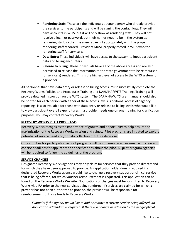- **Rendering Staff:** These are the individuals at your agency who directly provide the services to the participants and will be signing the contact logs. They will have accounts in WITS, but it will only show as rendering staff. They will not receive a login or password, but their names need to be in the system as rendering staff, so that the agency can bill appropriately with the proper rendering staff recorded. Providers MUST properly record in WITS who the rendering staff for service is.
- **Data Entry:** These individuals will have access to the system to input participant data and billing encounters.
- **Release to Billing:** These individuals have all of the above access and are also permitted to release the information to the state government to be reimbursed for service(s) rendered. This is the highest level of access to the WITS system for a provider.

All personnel that have data entry or release to billing access, must successfully complete the Recovery Works Policies and Procedures Training and DARMHA/WITS Training. Training will provide detailed instruction on the WITS system. The DARMHA/WITS user manual should also be printed for each person with either of these access levels. Additional access of "agency reporting" is also available for those with data entry or release to billing levels who would like to view participant overall expenditures. If a provider needs one on one training for clarification purposes, you may contact Recovery Works.

#### **RECOVERY WORKS PILOT PROGRAMS**

Recovery Works recognizes the importance of growth and opportunity to help ensure the maximization of the Recovery Works mission and values. Pilot programs are initiated to explore potential of service need and/or data collection of future decisions.

Opportunities for participation in pilot programs will be communicated via email with clear and concise deadlines for applicants and specifications about the pilot. All pilot program agencies will be required to follow the guidelines of the program.

#### **SERVICE CHANGES**

Designated Recovery Works agencies may only claim for services that they provide directly and for which they have been approved to provide. An application addendum is required if a designated Recovery Works agency would like to change a recovery support or clinical service that is being offered, for which voucher reimbursement is requested. This application can be found on the Recovery Works Website. Notifications of changes must be submitted to Recovery Works via JIRA prior to the new services being rendered. If services are claimed for which a provider has not been authorized to provide, the provider will be responsible for reimbursement of those funds to Recovery Works.

*Example: if the agency would like to add or remove a current service being offered, an Application addendum is required. If there is a change or addition to the geographical*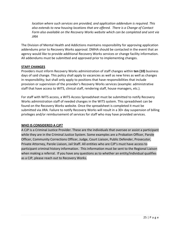*location where such services are provided, and application addendum is required. This also extends to new housing locations that are offered. There is a Change of Contact Form also available on the Recovery Works website which can be completed and sent via JIRA*

The Division of Mental Health and Addictions maintains responsibility for approving application addendums prior to Recovery Works approval. DMHA should be contacted in the event that an agency would like to provide additional Recovery Works services or change facility information. All addendums must be submitted and approved prior to implementing changes.

#### **STAFF CHANGES**

Providers must inform Recovery Works administration of staff changes within **ten (10)** business days of said change. This policy shall apply to vacancies as well as new hires as well as changes in responsibility; but shall only apply to positions that have responsibilities that include provision or supervision of the provider's Recovery Works services (example: administrative staff that have access to WITS, clinical staff, rendering staff, house managers, etc.).

For staff with WITS access, a WITS Access Spreadsheet must be submitted to notify Recovery Works administration staff of needed changes in the WITS system. This spreadsheet can be found on the Recovery Works website. Once the spreadsheet is completed it must be submitted via JIRA. Failure to notify Recovery Works will result in a 30+ day suspension of billing privileges and/or reimbursement of services for staff who may have provided services.

#### **WHO IS CONSIDERED A CJP?**

A CJP is a Criminal Justice Provider. These are the individuals that oversee or assist a participant while they are in the Criminal Justice System. Some examples are a Probation Officer, Parole Officer, Community Corrections Officer, Judge, Court Liaison, Public Defender, Prosecutor, Private Attorney, Parole Liaison, Jail Staff. All entities who are CJP's must have access to participant criminal history information. This information must be sent to the Regional Liaison when making a referral. If you have any questions as to whether an entity/individual qualifies as a CJP, please reach out to Recovery Works.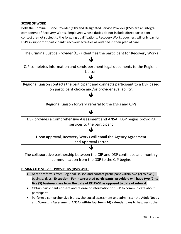#### **SCOPE OF WORK**

Both the Criminal Justice Provider (CJP) and Designated Service Provider (DSP) are an integral component of Recovery Works. Employees whose duties do not include direct participant contact are not subject to the forgoing qualifications. Recovery Works vouchers will only pay for DSPs in support of participants' recovery activities as outlined in their plan of care.



#### **DESIGNATED SERVICE PROVIDERS (DSP) WILL:**

- Accept referrals from Regional Liaison and contact participant within two (2) to five (5) business days. **Exception: For incarcerated participants, providers will have two (2) to five (5) business days from the date of RELEASE as opposed to date of referral.**
- Obtain participant consent and release of information for DSP to communicate about participant.
- Perform a comprehensive bio-psycho-social assessment and administer the Adult Needs and Strengths Assessment (ANSA) **within fourteen (14) calendar days** to help assist the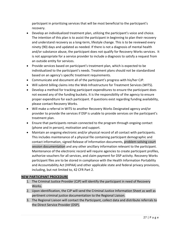participant in prioritizing services that will be most beneficial to the participant's recovery.

- Develop an individualized treatment plan, utilizing the participant's voice and choice. The intention of this plan is to assist the participant in beginning to plan their recovery and understand recovery as a long-term, lifestyle change. This is to be reviewed every ninety (90) days and updated as needed. If there is not a diagnosis of mental health and/or substance abuse, the participant does not qualify for Recovery Works services. It is not appropriate for a service provider to include a diagnosis to satisfy a request from an outside entity for services.
- Provide services based on participant's treatment plan, which is expected to be individualized to the participant's needs. Treatment plans should not be standardized based on an agency's specific treatment requirements.
- Communicate and document all of the participant's progress with his/her CJP.
- Will submit billing claims into the Web Infrastructure for Treatment Services (WITS).
- Develop a method for tracking participant expenditures to ensure the participant does not exceed any of the funding buckets. It is the responsibility of the agency to ensure proper expenditure for each participant. If questions exist regarding funding availability, please contact Recovery Works.
- Will make a referral in WITS to another Recovery Works Designated agency and/or provider to provide the services if DSP is unable to provide services on the participant's treatment plan.
- Ensure that participants remain connected to the program through ongoing contact (phone and in person), motivation and support.
- Maintain an ongoing electronic and/or physical record of all contact with participants. This includes maintenance of a physical file containing participant demographic and contact information, signed Release of Information documents, problem-solving court session documentation and any other ancillary information relevant to the participant. Maintenance of the electronic record will require agencies to create participant profiles, authorize vouchers for all services, and claim payment for DSP activity. Recovery Works participant files are to be stored in compliance with the Health Information Portability and Accountability Act (HIPAA) and other applicable state and federal privacy provisions, including, but not limited to, 42 CFR Part 2.

#### **NEW PARTICIPANT PROCEDURE**

- 1. The Criminal Justice Provider (CJP) will identify the participant in need of Recovery Works.
- 2. Upon identification, the CJP will send the Criminal Justice Information Sheet as well as pertinent criminal justice documentation to the Regional Liaison.
- 3. The Regional Liaison will contact the Participant, collect data and distribute referrals to the Direct Service Provider (DSP).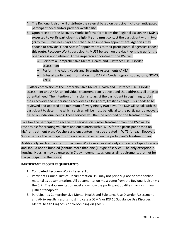- 4. The Regional Liaison will distribute the referral based on participant choice, anticipated participant need and/or provider availability.
- 5. Upon receipt of the Recovery Works Referral form from the Regional Liaison, **the DSP is expected to verify participant's eligibility** and **must** contact the participant within two (2) to five (5) business days and schedule an in-person appointment. Agencies may choose to provide "Open Access" appointments to their participants. If agencies choose this route, Recovery Works participants MUST be seen on the day they show up for the open access appointment. At the in-person appointment, the DSP will:
	- Perform a Comprehensive Mental Health and Substance Use Disorder assessment
	- Perform the Adult Needs and Strengths Assessments (ANSA)
	- Enter all participant information into DARMHA—demographic, diagnosis, NOMS, ANSA

5. After completion of the Comprehensive Mental Health and Substance Use Disorder assessment and ANSA, an individual treatment plan is developed that addresses all areas of potential need. The intention of this plan is to assist the participant in beginning to plan their recovery and understand recovery as a long-term, lifestyle change. This needs to be reviewed and updated at a minimum of every ninety (90) days. The DSP will speak with the participant to determine which services will be most beneficial to the participant's recovery based on individual needs. These services will then be recorded on the treatment plan.

To allow the participant to receive the services on his/her treatment plan, the DSP will be responsible for creating vouchers and encounters within WITS for the participant based on his/her treatment plan. Vouchers and encounters must be created in WITS for each Recovery Works service the participant is to receive as reflected on the participant's treatment plan.

Additionally, each encounter for Recovery Works services shall only contain one type of service and should not be bundled (contain more than one (1) type of service). The only exception is housing. Housing may be entered in 7-day increments, as long as all requirements are met for the participant in the house.

#### **PARTICIPANT RECORD REQUIREMENTS**

- 1. Completed Recovery Works Referral Form
- 2. Pertinent Criminal Justice Documentation DSP may not print MyCase or other online material as documentation. All documentation must come from the Regional Liaison via the CJP. The documentation must show how the participant qualifies from a criminal justice standpoint.
- 3. Participant's Comprehensive Mental Health and Substance Use Disorder Assessment and ANSA results; results must indicate a DSM V or ICD 10 Substance Use Disorder, Mental health Diagnosis or co-occurring diagnosis.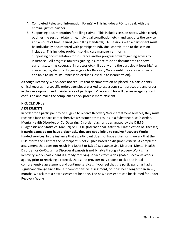- 4. Completed Release of Information Form(s) This includes a ROI to speak with the criminal justice partner.
- 5. Supporting documentation for billing claims This includes session notes, which clearly outlines the session (date, time, individual contribution etc.), and supports the service and amount of time utilized (see billing standards). All sessions with a participant must be individually documented with participant individual contribution to the session included. This includes problem-solving case management forms.
- 6. Supporting documentation for insurance and/or progress toward gaining access to insurance – All progress towards gaining insurance must be documented to show current state (has coverage, in process etc.). If at any time the participant loses his/her insurance, he/she is no longer eligible for Recovery Works until they are reconnected and able to utilize insurance (this excludes loss due to incarceration).

Although Recovery Works does not require that documentation be placed in a participants' clinical records in a specific order, agencies are asked to use a consistent procedure and order in the development and maintenance of participants' records. This will decrease agency staff confusion and make the compliance check process more efficient.

### **PROCEDURES**

#### **ASSESSMENTS**

In order for a participant to be eligible to receive Recovery Works treatment services, they must receive a face-to-face comprehensive assessment that results in a Substance Use Disorder, Mental Health Disorder, or Co-Occurring Disorder diagnosis designated by the DSM 5 (Diagnostic and Statistical Manual) or ICD 10 (International Statistical Classification of Diseases). **If participants do not have a diagnosis, they are not eligible to receive Recovery Works funded services.** In the instance that a participant does not have a diagnosis, we ask that the DSP inform the CJP that the participant is not eligible based on diagnosis criteria. A completed assessment that does not result in a DSM 5 or ICD 10 Substance Use Disorder, Mental Health Disorder, or Co-Occurring Disorder diagnosis is not billable through Recovery Works. If a Recovery Works participant is already receiving services from a designated Recovery Works agency prior to receiving a referral, that same provider may choose to skip the initial comprehensive assessment and continue services. If you feel that the participant has had a significant change since the last comprehensive assessment, or it has been longer than six (6) months, we ask that a new assessment be done. The new assessment can be claimed for under Recovery Works.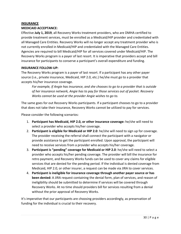#### **INSURANCE**

#### **MEDICAID ACCEPTANCE:**

Effective **July 1, 2019**, all Recovery Works treatment providers, who are DMHA certified to provide treatment services, must be enrolled as a Medicaid/HIP provider and credentialed with all Managed Care Entities. Recovery Works will no longer accept any treatment provider who is not currently enrolled in Medicaid/HIP and credentialed with the Managed Care Entities. Agencies are required to bill Medicaid/HIP for all services covered under Medicaid/HIP. The Recovery Works program is a payer of last resort. It is imperative that providers accept and bill insurance for participants to conserve a participant's overall expenditure and funding.

#### **INSURANCE FOLLOW-UP:**

The Recovery Works program is a payer of last resort. If a participant has any other payer source (i.e., private insurance, Medicaid, HIP 2.0, etc.) he/she must go to a provider that accepts his/her insurance coverage.

*For example, if Angie has insurance, and she chooses to go to a provider that is outside of her insurance network, Angie has to pay for those services out of pocket. Recovery Works cannot be used at the provider Angie wishes to go to.*

The same goes for out Recovery Works participants. If a participant chooses to go to a provider that does not take their insurance, Recovery Works cannot be utilized to pay for services.

Please consider the following scenarios:

- 1. **Participant has Medicaid, HIP 2.0, or other insurance coverage:** he/she will need to select a provider who accepts his/her coverage.
- 2. **Participant is eligible for Medicaid or HIP 2.0**: he/she will need to sign up for coverage. The provider receiving the referral shall connect the participant with a navigator or provide assistance to get the participant enrolled. Upon approval, the participant will need to receive services from a provider who accepts his/her coverage.
- 3. **Participant is "pending" coverage for Medicaid or HIP 2.0**: he/she will need to select a provider who accepts his/her pending coverage. The provider will bill the insurance for retro payment, and Recovery Works funds can be used to cover any claims for eligible services that are denied for the pending period. If the individual is denied coverage from Medicaid, HIP 2.0, or other insurer, a request can be made via JIRA to cover services.
- 4. **Participant is ineligible for insurance coverage through another payer source or has been denied:** A JIRA request containing the denial form, plan of services, and reason of ineligibility should be submitted to determine if services will be covered through Recovery Works. At no time should providers bill for services resulting from a denial without the prior approval of Recovery Works.

It's imperative that our participants are choosing providers accordingly, as preservation of funding for the individual is crucial to their recovery.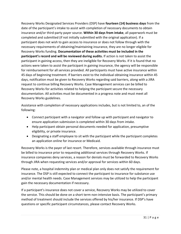Recovery Works Designated Services Providers (DSP) have **fourteen (14) business days** from the date of the participant's intake to assist with completion of necessary documents to obtain insurance and/or third-party payer source. **Within 30 days from intake**, all paperwork must be completed and submitted (if not initially submitted with the original application). If a participant does not wish to gain access to insurance or does not follow through with the necessary requirements of obtaining/maintaining insurance, they are no longer eligible for Recovery Works funding. **Documentation of these activities must be included in the participant's record and will be reviewed during audits.** If action is not taken to assist the participant in gaining access, then they are ineligible for Recovery Works. If it is found that no actions were taken to assist the participant in gaining insurance, the agency will be responsible for reimbursement for all services provided. All participants must have active insurance within 45 days of beginning treatment. If barriers exist to the individual obtaining insurance within 45 days, notification must be given to Recovery Works regarding said barriers, along with a JIRA request to continue billing Recovery Works. Case Management services can be billed to Recovery Works for activities related to helping the participant secure the necessary documentation. All activities must be documented in a progress note and must meet all Recovery Works guidelines.

Assistance with completion of necessary applications includes, but is not limited to, an of the following:

- Connect participant with a navigator and follow up with participant and navigator to ensure application submission is completed within 30 days from intake.
- Help participant obtain personal documents needed for application, presumptive eligibility, or private insurance.
- Designating a staff employee to sit with the participant while the participant completes an application online for insurance or Medicaid.

Recovery Works is the payer of last resort. Therefore, services available through insurance must be billed to insurance prior to requesting additional services through Recovery Works. If insurance companies deny services, a reason for denials must be forwarded to Recovery Works through JIRA when requesting services and/or approval for services within 60 days.

Please note, a hospital indemnity plan or medical plan only does not satisfy the requirement for insurance. The DSP is still expected to connect the participant to insurance for substance use and/or mental health needs. Case Management services may be utilized to help the participant gain the necessary documentation if necessary.

If a participant's insurance does not cover a service, Recovery Works may be utilized to cover the service. This should be done on a short term non-intensive basis. The participant's primary method of treatment should include the services offered by his/her insurance. If DSP's have questions or specific participant circumstances, please contact Recovery Works.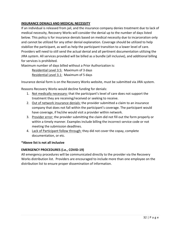#### **INSURANCE DENIALS AND MEDICAL NECESSITY**

If an individual is released from jail, and the insurance company denies treatment due to lack of medical necessity, Recovery Works will consider the denial up to the number of days listed below. This policy is for insurance denials based on medical necessity due to incarceration only and cannot be utilized for any other denial explanation. Coverage should be utilized to help stabilize the participant, as well as help the participant transition to a lower level of care. Providers will need to still send the actual denial and all pertinent documentation utilizing the JIRA system. All services provided will be billed as a bundle (all inclusive), and additional billing for services is prohibited.

Maximum number of days billed without a Prior Authorization is:

Residential Level 3.5: Maximum of 3 days Residential Level 3.1: Maximum of 5 days

Insurance denial form is on the Recovery Works website, must be submitted via JIRA system.

Reasons Recovery Works would decline funding for denials:

- 1. Not medically necessary: that the participant's level of care does not support the treatment they are receiving/received or seeking to receive.
- 2. Out of network insurance denials: the provider submitted a claim to an insurance company that does not fall within the participant's coverage. The participant would have coverage, if he/she would visit a provider within network.
- 3. Provider error: the provider submitting the claim did not fill out the form properly or within a timely manner. Examples include billing the incorrect service code or not meeting the submission deadlines.
- 4. Lack of Participant follow through: they did not cover the copay, complete documentation, or etc.

#### **\*Above list is not all inclusive**

#### **EMERGENCY PROCEDURES (i.e., COVID-19)**

All emergency procedures will be communicated directly to the provider via the Recovery Works distribution list. Providers are encouraged to include more than one employee on the distribution list to ensure proper dissemination of information.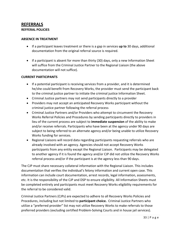## **REFERRALS**

#### **REFFERAL POLICIES**

#### **ABSENCE IN TREATMENT**

- If a participant leaves treatment or there is a gap in services **up to** 30 days, additional documentation from the original referral source is required.
- If a participant is absent for more than thirty (30) days, only a new Information Sheet will suffice from the Criminal Justice Partner to the Regional Liaison (the above documentation will not suffice).

#### **CURRENT PARTICIPANTS**

- If a potential participant is receiving services from a provider, and it is determined he/she could benefit from Recovery Works, the provider must send the participant back to the criminal justice partner to initiate the criminal justice Information Sheet.
- Criminal Justice partners may not send participants directly to a provider
- Providers may not accept an anticipated Recovery Works participant without the criminal justice partner following the referral process
- Criminal Justice Partners and/or Providers who attempt to circumvent the Recovery Works Referral Policies and Procedures by sending participants directly to providers in lieu of the current process are subject to **immediate suspension** of the ability to make and/or receive referrals. Participants who have been at the agency under 90 days are subject to being referred to an alternate agency and/or being unable to utilize Recovery Works funding for services.
- Regional Liaisons will record data regarding participants requesting referrals who are already involved with an agency. Agencies should not accept Recovery Works participants from any entity except the Regional Liaison. Participants may be delegated to another agency if it is found the agency and/or CJP did not utilize the Recovery Works referral process and/or if the participant is at the agency less than 90 days.

The CJP must share necessary collateral information with the Regional Liaison. This includes documentation that verifies the individual's felony information and current open case. This information can include court documentation, arrest records, legal information, assessments, etc. It is the responsibility of the CJP and DSP to ensure eligibility. All Information Sheets must be completed entirely and participants must meet Recovery Works eligibility requirements for the referral to be considered valid.

Criminal Justice Partners (CJPs) are expected to adhere to all Recovery Works Policies and Procedures, including but not limited to **participant choice.** Criminal Justice Partners who utilize a "preferred provider" list may not utilize Recovery Works to make referrals to those preferred providers (excluding certified Problem-Solving Courts and in house jail services).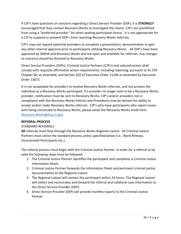If CJP's have questions or concerns regarding a Direct Service Provider (DSP), it is **STRONGLY** encouraged that they contact Recovery Works to investigate the claims. CJP's are prohibited from using a "preferred provider" list when seeking participant choice. It is not appropriate for a CJP to suspend or prevent DSP's from receiving Recovery Works referrals.

CJP's may not require potential providers to complete a presentation, demonstration or gain any other internal approval prior to participants utilizing Recovery Works . All DSP's have been approved by DMHA and Recovery Works and are open and available for referrals. Any changes or concerns should be directed to Recovery Works.

Direct Service Providers (DSPs), Criminal Justice Partners (CJP's) and subcontractors shall comply with requisite affirmative action requirements, including reporting, pursuant to 41 CFR Chapter 60, as amended, and Section 202 of Executive Order 11246 as amended by Executive Order 13672.

It is not acceptable for providers to receive Recovery Works referrals, and not process the individual as a Recovery Works participant. If a provider no longer wish to be a Recovery Works provider, notification must be sent to Recovery Works. CJP's and/or providers not in compliance with the Recovery Works Policies and Procedures may be denied the ability to accept and/or make Recovery Works referrals. CJP's who have participants who report issues with being connected to Recovery Works, please email the Recovery Works email here: [Recovery.Works@fssa.in.gov.](mailto:Recovery.Works@fssa.in.gov)

#### **REFERRAL PROCESS**

#### *STANDARD REFERRALS*

**All** referrals must flow through the Recovery Works Regional Liaison. All Criminal Justice Partners must utilize the standard process unless specified below (i.e., Work Release, Incarcerated Participants etc.).

The referral process must begin with the Criminal Justice Partner. In order for a referral to be valid the following steps must be followed:

- 1. The Criminal Justice Partner identifies the participant and completes a Criminal Justice Information Sheet.
- 2. Criminal Justice Partner forwards the Information Sheet and pertinent criminal justice documentation to the Regional Liaison.
- 3. The Regional Liaison will contact the participant within 24 hours. The Regional Liaison will collect and record data and forward the referral and collateral case information to the Direct Service Provider (DSP).
- 4. Direct Service Provider (DSP) will provide monthly reports to the Criminal Justice Partner.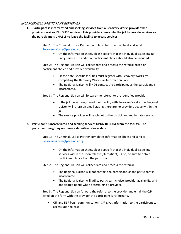#### *INCARCERATED PARTICIPANT REFFERALS*

**1. Participant is incarcerated and seeking services from a Recovery Works provider who provides services IN HOUSE services. This provider comes into the jail to provide services as the participant is UNABLE to leave the facility to access services.** 

> Step 1: The Criminal Justice Partner completes Information Sheet and send to [RecoveryWorks@paceindy.org](mailto:RecoveryWorks@paceindy.org)

> > • On the information sheet, please specify that the individual is seeking Re-Entry service. In addition, participant choice should also be included.

Step 2: The Regional Liaison will collect data and process the referral based on participant choice and provider availability.

- Please note, specific facilities must register with Recovery Works by completing the Recovery Works Jail Information Form.
- The Regional Liaison will NOT contact the participant, as the participant is incarcerated.

Step 3: The Regional Liaison will forward the referral to the identified provider.

- If the jail has not registered their facility with Recovery Works, the Regional Liaison will return an email stating there are no providers active within the jail.
- The service provider will reach out to the participant and initiate services.
- **2. Participant is incarcerated and seeking services UPON RELEASE from the facility. The participant may/may not have a definitive release date.**

Step 1: The Criminal Justice Partner completes Information Sheet and send to [RecoveryWorks@paceindy.org.](mailto:RecoveryWorks@paceindy.org)

> • On the information sheet, please specify that the individual is seeking services within the upon release (Outpatient). Also, be sure to obtain participant choice from the participant.

Step 2: The Regional Liaison will collect data and process the referral.

- The Regional Liaison will not contact the participant, as the participant is incarcerated.
- The Regional Liaison will utilize participant choice, provider availability and anticipated needs when determining a provider.

Step 3: The Regional Liaison forward the referral to the provider and email the CJP listed on the form with the provider the participant is referred to.

• CJP and DSP begin communication. CJP gives information to the participant to access upon release.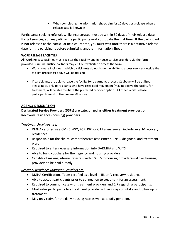• When completing the information sheet, aim for 10 days post release when a release date is known in

Participants seeking referrals while incarcerated must be within 30 days of their release date. For jail services, you may utilize the participants next court date the first time. If the participant is not released at the particular next court date, you must wait until there is a definitive release date for the participant before submitting another Information Sheet.

#### **WORK RELEASE FACILITIES**

All Work Release facilities must register their facility and in-house service providers via the form provided. Criminal Justice partners may visit our website to access the form.

- Work release facilities in which participants do not have the ability to access services outside the facility, process #1 above will be utilized.
- If participants are able to leave the facility for treatment, process #2 above will be utilized. Please note, only participants who have restricted movement (may not leave the facility for treatment) will be able to utilize the preferred provider option. All other Work Release participants must utilize process #2 above.

#### **AGENCY DESIGNATION**

#### **Designated Service Providers (DSPs) are categorized as either treatment providers or Recovery Residence (housing) providers.**

#### *Treatment Providers are:*

- DMHA certified as a CMHC, ASO, ASR, PIP, or OTP agency—can include level IV recovery residences.
- Responsible for the clinical comprehensive assessment, ANSA, diagnosis, and treatment plan.
- Required to enter necessary information into DARMHA and WITS.
- Able to build vouchers for their agency and housing providers.
- Capable of making internal referrals within WITS to housing providers—allows housing providers to be paid directly.

#### *Recovery Residence (housing) Providers are:*

- DMHA Certifications Team certified as a level II, III, or IV recovery residence.
- Able to accept participants prior to connection to treatment for an assessment.
- Required to communicate with treatment providers and CJP regarding participants.
- Must refer participants to a treatment provider within 7 days of intake and follow up on treatment.
- May only claim for the daily housing rate as well as a daily per diem.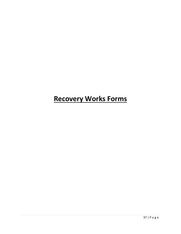# **Recovery Works Forms**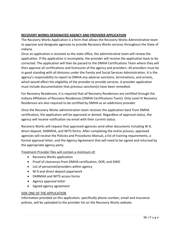# **RECOVERY WORKS DESIGNATED AGENCY AND PROVIDER APPLICATION**

The Recovery Works Application is a form that allows the Recovery Works Administrative team to approve and designate agencies to provide Recovery Works services throughout the State of Indiana.

Once an application is received as the state office, the administrative team will review the application. If the application is incomplete, the provider will receive the application back to be corrected. The application will then be passed to the DMHA Certifications Team where they will then approve all certifications and licensures of the agency and providers. All providers must be in good standing with all divisions under the Family and Social Services Administration. It is the agency's responsibility to report to DMHA any adverse sanctions, terminations, and arrests, which would affect the eligibility of the provider to provide services. A provider application must include documentation that previous sanction(s) have been remedied.

For Recovery Residences, it is required that all Recovery Residences are certified through the Indiana Affiliation of Recovery Residences (DMHA Certifications Team). Only Level IV Recovery Residences are also required to be certified by DMHA as an addictions provider.

Once the Recovery Works administration team receives the application back from DMHA certification, the application will be approved or denied. Regardless of approval status, the agency will receive notification via email with their current status.

Recovery Works will request that approved agencies send other documents including W-9, direct deposit, DARMHA, and WITS forms. After completing the entire process, approved agencies will receive the Policies and Procedures Manual, a list of training requirements, a formal approval letter, and the Agency Agreement that will need to be signed and returned by the appropriate agency party.

Treatment Provider files will contain a minimum of:

- Recovery Works application
- Proof of clearances from DMHA certification, DOR, and DWD
- List of personnel/providers within agency
- W-9 and direct deposit paperwork
- DARMHA and WITS access forms
- Agency approval letter
- Signed agency agreement

#### SIDE ONE OF THE APPLICATION

Information provided on this application, specifically phone number, email and insurance policies, will be uploaded to the provider list on the Recovery Works website.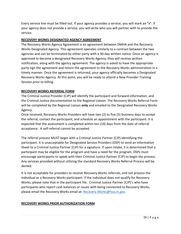Every service line must be filled out. If your agency provides a service, you will mark an "x". If your agency does not provide a service, you will write who you will partner with to provide the service.

## **RECOVERY WORKS DESIGNATED AGENCY AGREEMENT**

The Recovery Works Agency Agreement is an agreement between DMHA and the Recovery Works Designated Agency. This agreement operates similarly to a contract between the two agencies and can be terminated by either party with a 30-day written notice. Once an agency is approved to become a designated Recovery Works Agency, they will receive written notification, along with the agency agreement. The agency is asked to have the appropriate party sign the agreement and return the agreement to the Recovery Works administration in a timely manner. Once the agreement is returned, your agency officially becomes a Designated Recovery Works Agency. At this point, you will be ready to attend a New Provider Training Session prior to billing.

## **RECOVERY WORKS REFERRAL FORM**

The Criminal Justice Provider (CJP) will identify the participant and forward information, and the Criminal Justice documentation to the Regional Liaison. The Recovery Works Referral Form will be completed by the Regional Liaison **only** and emailed to the Designated Recovery Works Agency.

Once received, Recovery Works Providers will have two (2) to five (5) business days to accept the referral, contact the participant, and schedule an appointment with the participant. It is expected that the assessment is completed within ten (10) days from the date of referral acceptance. A self-referral cannot be accepted.

The referral process MUST begin with a Criminal Justice Partner (CJP) identifying the participant. It is unacceptable for Designated Service Providers (DSP) to send an Information Sheet to a Criminal Justice Partner (CJP) for a signature. If upon intake, it is determined that a participant may be eligible for the program and have a need for the program, DSPs must encourage participants to speak with their Criminal Justice Partner (CJP) to begin the process. Any services provided without utilizing the standard Recovery Works Referral Process will be denied.

It is not acceptable for providers to receive Recovery Works referrals, and not process the individual as a Recovery Works participant. If the individual does not qualify for Recovery Works, please note that in the participant file. Criminal Justice Partner (CJP)'s who have participants who report cash balances or issues with being connected to Recovery Works, please email the Recovery Works email at: [Recovery.Works@fssa.in.gov.](mailto:Recovery.Works@fssa.in.gov)

# **RECOVERY WORKS PRIOR AUTHORIZATION FORM**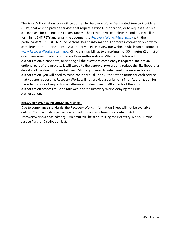The Prior Authorization form will be utilized by Recovery Works Designated Service Providers (DSPs) that wish to provide services that require a Prior Authorization, or to request a service cap increase for extenuating circumstances. The provider will complete the online, PDF fill-in form in its ENTIRETY and email the document to Recovery. Works@fssa.in.gov with the participants WITS ID # ONLY, no personal health information. For more information on how to complete Prior Authorizations (PAs) properly, please review our webinar which can be found at [www.RecoveryWorks.fssa.in.gov.](http://www.recoveryworks.fssa.in.gov/) Clinicians may bill up to a maximum of 30 minutes (2 units) of case management when completing Prior Authorizations. When completing a Prior Authorization, please note, answering all the questions completely is required and not an optional part of the process. It will expedite the approval process and reduce the likelihood of a denial if all the directions are followed. Should you need to select multiple services for a Prior Authorization, you will need to complete individual Prior Authorization forms for each service that you are requesting. Recovery Works will not provide a denial for a Prior Authorization for the sole purpose of requesting an alternate funding stream. All aspects of the Prior Authorization process must be followed prior to Recovery Works denying the Prior Authorization.

#### **RECOVERY WORKS INFORMATION SHEET**

Due to compliance standards, the Recovery Works Information Sheet will not be available online. Criminal Justice partners who seek to receive a form may contact PACE (recoveryworks@paceindy.org). An email will be sent utilizing the Recovery Works Criminal Justice Partner Distribution List.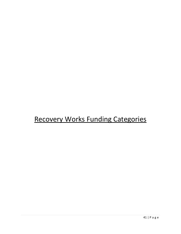# Recovery Works Funding Categories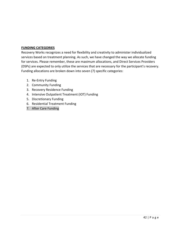#### **FUNDING CATEGORIES**

Recovery Works recognizes a need for flexibility and creativity to administer individualized services based on treatment planning. As such, we have changed the way we allocate funding for services. Please remember, these are maximum allocations, and Direct Services Providers (DSPs) are expected to only utilize the services that are necessary for the participant's recovery. Funding allocations are broken down into seven (7) specific categories:

- 1. Re-Entry Funding
- 2. Community Funding
- 3. Recovery Residence Funding
- 4. Intensive Outpatient Treatment (IOT) Funding
- 5. Discretionary Funding
- 6. Residential Treatment Funding
- 7. After Care Funding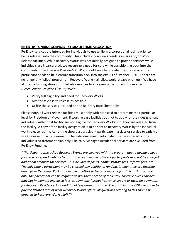# **RE-ENTRY FUNDING SERVICES - \$1,500 LIFETIME ALLOCATION**

Re-Entry services are intended for individuals to use while in a correctional facility prior to being released into the community. This includes individuals residing in jails and/or Work Release facilities. While Recovery Works was not initially designed to provide services while individuals are incarcerated, we recognize a need for care while transitioning back into the community. Direct Service Provider's (DSP's) should seek to provide only the services the participant needs to help ensure transition back into society. As of October 1, 2019, there are no longer any "pilot" programs in Recovery Works (jail pilot, work release pilot, etc). We have allotted a funding stream for Re-Entry services to any agency that offers this service. *Direct Service Provider's (DSP's) must:*

- Verify full eligibility and need for Recovery Works.
- Aim for as close to release as possible
- Utilize the services included on the Re-Entry Rate Sheet only.

Please note, all work release facilities must apply with Medicaid to determine their particular level for Freedom of Movement. If work release facilities opt not to apply for their designation, individuals within that facility are not eligible for Recovery Works until they are released from the facility. A copy of the facility designation is to be sent to Recovery Works by the individual work release facility. At no time should a participant participate in a class or service to satisfy a work release or jail requirement. The individual must participate in services based on the individualized treatment plan only. Clinically Managed Residential Services are excluded from Re-Entry Funding.

*\*\*Participants who utilize Recovery Works are involved with the program due to having a need for the service, and inability to afford the cost. Recovery Works participants may not be charged additional amounts for services. This includes deposits, administrative fees, referral fees, etc. The only time a participant may be charged any additional funding, is when they are titrating down from Recovery Works funding, in an effort to become more self-sufficient. At this time only, the participant can be required to pay their portion of their stay. Direct Service Providers may not implement increased fees, copayments (except insurance copays or titration payments for Recovery Residences), or additional fees during this time. The participant is ONLY required to pay the titrated rate of what Recovery Works offers. All questions relating to this should be directed to Recovery Works staff.\*\**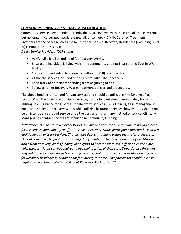# **COMMUNITY FUNDING - \$2,500 MAXIMUM ALLOCATION**

Community services are intended for individuals still involved with the criminal justice system, but no longer incarcerated (work release, jail, prison, etc.). DMHA Certified Treatment Providers are the only agencies able to utilize this service. Recovery Residences (excluding Level IV) cannot utilize this service.

*Direct Service Provider's (DSP's) must:*

- Verify full eligibility and need for Recovery Works.
- Ensure the individual is living within the community and not incarcerated (Not in WR facility)
- Connect the individual to insurance within ten (10) business days.
- Utilize the services included on the Community Rate Sheet only.
- Keep track of participant spending from beginning to end.
- Follow all other Recovery Works treatment policies and procedures.

The above funding is intended for gap services and should be utilized as the funding of last resort. When the individual obtains insurance, the participant should immediately begin utilizing said insurance for services. Rehabilitative services (Skills Training, Case Management, etc.) can be billed to Recovery Works while utilizing insurance services, however this should not be an intensive method of service or be the participant's primary method of service. Clinically Managed Residential Services are excluded in Community Funding.

*\*\*Participants who utilize Recovery Works are involved with the program due to having a need for the service, and inability to afford the cost. Recovery Works participants may not be charged additional amounts for services. This includes deposits, administrative fees, referral fees, etc. The only time a participant may be charged any additional funding, is when they are titrating down from Recovery Works funding, in an effort to become more self-sufficient. At this time only, the participant can be required to pay their portion of their stay. Direct Service Providers may not implement increased fees, copayments (except insurance copays or titration payments for Recovery Residences), or additional fees during this time. The participant should ONLY be required to pay the titrated rate of what Recovery Works offers.\*\**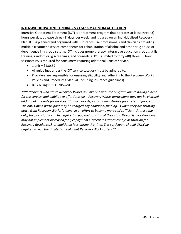# **INTENSIVE OUTPATIENT FUNDING - \$3,134.16 MAXIMUM ALLOCATION**

Intensive Outpatient Treatment (IOT) is a treatment program that operates at least three (3) hours per day, at lease three (3) days per week, and is based on an Individualized Recovery Plan. IOT is planned and organized with Substance Use professionals and clinicians providing multiple treatment service components for rehabilitation of alcohol and other drug abuse or dependence in a group setting. IOT includes group therapy, interactive education groups, skills training, random drug screenings, and counseling. IOT is limited to forty (40) three (3) hour sessions; PA is required for consumers requiring additional units of service.

- 1 unit =  $$130.59$
- All guidelines under the IOT service category must be adhered to.
- Providers are responsible for ensuring eligibility and adhering to the Recovery Works Policies and Procedures Manual (including insurance guidelines).
- Bulk billing is NOT allowed.

*\*\*Participants who utilize Recovery Works are involved with the program due to having a need for the service, and inability to afford the cost. Recovery Works participants may not be charged additional amounts for services. This includes deposits, administrative fees, referral fees, etc. The only time a participant may be charged any additional funding, is when they are titrating down from Recovery Works funding, in an effort to become more self-sufficient. At this time only, the participant can be required to pay their portion of their stay. Direct Service Providers may not implement increased fees, copayments (except insurance copays or titration for Recovery Residences), or additional fees during this time. The participant should ONLY be required to pay the titrated rate of what Recovery Works offers.\*\**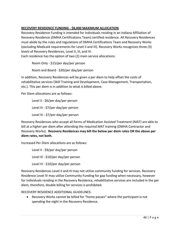# **RECOVERY RESIDENCE FUNDING - \$8,000 MAXIMUM ALLOCATION**

Recovery Residence Funding is intended for individuals residing in an Indiana Affiliation of Recovery Residence (DMHA Certifications Team) certified residence. All Recovery Residences must abide by the rules and regulations of DMHA Certifications Team and Recovery Works (excluding Medicaid requirements for Level II and III). Recovery Works recognizes three (3) levels of Recovery Residences, Level II, III, and IV.

Each residence has the option of two (2) main service allocations:

Room Only - \$15/per day/per person

Room and Board - \$20/per day/per person

In addition, Recovery Residences will be given a per diem to help offset the costs of rehabilitative services (Skill Training and Development, Case Management, Transportation, etc.). This per diem is in addition to what is billed above.

Per Diem allocations are as follows:

Level II - \$6/per day/per person Level III - \$7/per day/per person Level IV - \$7/per day/per person

Recovery Residences who accept all forms of Medication Assisted Treatment (MAT) are able to bill at a higher per diem after attending the required MAT training (DMHA Contractor and Recovery Works). **Recovery Residences may bill the below per diem rates OR the above per diem rates, not both.** 

Increased Per Diem allocations are as follows:

Level II - \$9/per day/per person Level III - \$10/per day/per person Level IV - \$10/per day/per person

Recovery Residences Level II and III may not utilize community funding for services. Recovery Residence Level IV may utilize Community Funding for gap funding when necessary, however for individuals residing in the Recovery Residence, rehabilitative services are included in the per diem, therefore, double billing for services is prohibited.

RECOVERY RESIDENCE ADDITIONAL GUIDELINES:

• Recovery Works cannot be billed for "home passes" where the participant is not spending the night in the Recovery Residence.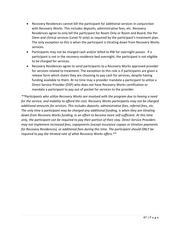- Recovery Residences cannot bill the participant for additional services in conjunction with Recovery Works. This includes deposits, administrative fees, etc. Recovery Residences agree to only bill the participant for Room Only or Room and Board, the Per Diem and clinical services (Level IV only) as required by the participant's treatment plan. The only exception to this is when the participant is titrating down from Recovery Works services.
- Participants may not be charged cash and/or billed to RW for overnight passes. If a participant is not in the recovery residence bed overnight, the participant is not eligible to be charged for services.
- Recovery Residences agree to send participants to a Recovery Works approved provider for services related to treatment. The exception to this rule is if participants are given a release form which states they are choosing to pay cash for services, despite having funding available to them. At no time may a provider mandate a participant to utilize a Direct Service Provider (DSP) who does not have Recovery Works certification or mandate a participant to pay out of pocket for services to the provider.

*\*\*Participants who utilize Recovery Works are involved with the program due to having a need for the service, and inability to afford the cost. Recovery Works participants may not be charged additional amounts for services. This includes deposits, administrative fees, referral fees, etc. The only time a participant may be charged any additional funding, is when they are titrating down from Recovery Works funding, in an effort to become more self-sufficient. At this time only, the participant can be required to pay their portion of their stay. Direct Service Providers may not implement increased fees, copayments (except insurance copays or titration payments for Recovery Residences), or additional fees during this time. The participant should ONLY be required to pay the titrated rate of what Recovery Works offers.\*\**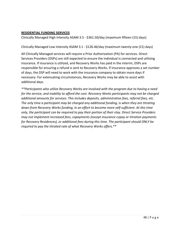#### **RESIDENTIAL FUNDING SERVICES**

Clinically Managed High Intensity ASAM 3.5 - \$361.50/day (maximum fifteen (15) days)

Clinically Managed Low Intensity ASAM 3.1 - \$126.46/day (maximum twenty-one (21) days)

All Clinically Managed services will require a Prior Authorization (PA) for services. Direct Services Providers (DSPs) are still expected to ensure the individual is connected and utilizing insurance. If insurance is utilized, and Recovery Works has paid in the interim, DSPs are responsible for ensuring a refund is sent to Recovery Works. If insurance approves a set number of days, the DSP will need to work with the insurance company to obtain more days if necessary. For extenuating circumstances, Recovery Works may be able to assist with additional days.

*\*\*Participants who utilize Recovery Works are involved with the program due to having a need for the service, and inability to afford the cost. Recovery Works participants may not be charged additional amounts for services. This includes deposits, administrative fees, referral fees, etc. The only time a participant may be charged any additional funding, is when they are titrating down from Recovery Works funding, in an effort to become more self-sufficient. At this time only, the participant can be required to pay their portion of their stay. Direct Service Providers may not implement increased fees, copayments (except insurance copay or titration payments for Recovery Residences), or additional fees during this time. The participant should ONLY be required to pay the titrated rate of what Recovery Works offers.\*\**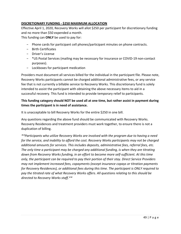## **DISCRETIONARY FUNDING - \$250 MAXIMUM ALLOCATION**

Effective April 1, 2020, Recovery Works will allot \$250 per participant for discretionary funding and no more than \$50 expended a month.

This funding can **ONLY** be used to pay for:

- − Phone cards for participant cell phones/participant minutes on phone contracts.
- − Birth Certificates
- − Driver's License
- − \*US Postal Services (mailing may be necessary for insurance or COVID-19 non-contact purposes).
- − Lockboxes for participant medication

Providers must document all services billed for the individual in the participant file. Please note, Recovery Works participants cannot be charged additional administrative fees, or any service fee that is not currently a billable service to Recovery Works. This discretionary fund is solely intended to assist the participant with obtaining the above necessary items to aid in a successful recovery. This fund is intended to provide temporary relief to participants.

# **This funding category should NOT be used all at one time, but rather assist in payment during times the participant is in need of assistance.**

It is unacceptable to bill Recovery Works for the entire \$250 in one bill.

Any questions regarding the above fund should be communicated with Recovery Works. Recovery Residences and treatment providers must work together, to ensure there is not a duplication of billing.

*\*\*Participants who utilize Recovery Works are involved with the program due to having a need for the service, and inability to afford the cost. Recovery Works participants may not be charged additional amounts for services. This includes deposits, administrative fees, referral fees, etc. The only time a participant may be charged any additional funding, is when they are titrating down from Recovery Works funding, in an effort to become more self-sufficient. At this time only, the participant can be required to pay their portion of their stay. Direct Service Providers may not implement increased fees, copayments (except insurance copays or titration payments for Recovery Residences), or additional fees during this time. The participant is ONLY required to pay the titrated rate of what Recovery Works offers. All questions relating to this should be directed to Recovery Works staff.\*\**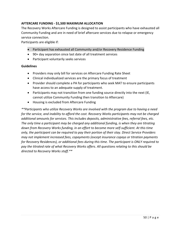## **AFTERCARE FUNDING - \$1,500 MAXIMUM ALLOCATION**

The Recovery Works Aftercare Funding is designed to assist participants who have exhausted all Community Funding and are in need of brief aftercare services due to relapse or emergency service connection.

Participants are eligible if:

- Participant has exhausted all Community and/or Recovery Residence Funding
- 90+ day separation since last date of all treatment services
- Participant voluntarily seeks services

#### **Guidelines**

- Providers may only bill for services on Aftercare Funding Rate Sheet
- Clinical individualized services are the primary focus of treatment
- Provider should complete a PA for participants who seek MAT to ensure participants have access to an adequate supply of treatment.
- Participants may not transition from one funding source directly into the next (IE, cannot utilize Community Funding then transition to Aftercare)
- Housing is excluded from Aftercare Funding

*\*\*Participants who utilize Recovery Works are involved with the program due to having a need for the service, and inability to afford the cost. Recovery Works participants may not be charged additional amounts for services. This includes deposits, administrative fees, referral fees, etc. The only time a participant may be charged any additional funding, is when they are titrating down from Recovery Works funding, in an effort to become more self-sufficient. At this time only, the participant can be required to pay their portion of their stay. Direct Service Providers may not implement increased fees, copayments (except insurance copays or titration payments for Recovery Residences), or additional fees during this time. The participant is ONLY required to pay the titrated rate of what Recovery Works offers. All questions relating to this should be directed to Recovery Works staff.\*\**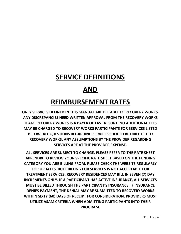# **SERVICE DEFINITIONS**

# **AND**

# **REIMBURSEMENT RATES**

**ONLY SERVICES DEFINED IN THIS MANUAL ARE BILLABLE TO RECOVERY WORKS. ANY DISCREPANCIES NEED WRITTEN APPROVAL FROM THE RECOVERY WORKS TEAM. RECOVERY WORKS IS A PAYER OF LAST RESORT. NO ADDITIONAL FEES MAY BE CHARGED TO RECOVERY WORKS PARTICIPANTS FOR SERVICES LISTED BELOW. ALL QUESTIONS REGARDING SERVICES SHOULD BE DIRECTED TO RECOVERY WORKS. ANY ASSUMPTIONS BY THE PROVIDER REGARDING SERVICES ARE AT THE PROVIDER EXPENSE.**

**ALL SERVICES ARE SUBJECT TO CHANGE. PLEASE REFER TO THE RATE SHEET APPENDIX TO REVIEW YOUR SPECIFIC RATE SHEET BASED ON THE FUNDING CATEGORY YOU ARE BILLING FROM. PLEASE CHECK THE WEBSITE REGULARLY FOR UPDATES. BULK BILLING FOR SERVICES IS NOT ACCEPTABLE FOR TREATMENT SERVICES. RECOVERY RESIDENCES MAY BILL IN SEVEN (7) DAY INCREMENTS ONLY. IF A PARTICIPANT HAS ACTIVE INSURANCE, ALL SERVICES MUST BE BILLED THROUGH THE PARTICIPANT'S INSURANCE. IF INSURANCE DENIES PAYMENT, THE DENIAL MAY BE SUBMITTED TO RECOVERY WORKS WITHIN SIXTY (60) DAYS OF RECEIPT FOR CONSIDERATION. PROVIDERS MUST UTILIZE ASAM CRITERIA WHEN ADMITTING PARTICIPANTS INTO THEIR PROGRAM.**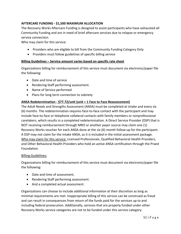# **AFTERCARE FUNDING - \$1,500 MAXIMUM ALLOCATION**

The Recovery Works Aftercare Funding is designed to assist participants who have exhausted all Community Funding and are in need of brief aftercare services due to relapse or emergency service connection.

Who may claim for this service:

- Providers who are eligible to bill from the Community Funding Category Only
- Providers must follow guidelines of specific billing service

#### **Billing Guidelines – Service amount varies based on specific rate sheet**

Organizations billing for reimbursement of this service must document via electronic/paper file the following:

- Date and time of service
- Rendering Staff performing assessment.
- Name of Service performed
- Plans for long term connection to sobriety

#### **ANSA Redetermination - \$77.72/unit (unit = 1 Face to Face Reassessment)**

The Adult Needs and Strengths Assessment (ANSA) must be completed at intake and every six (6) months. The redetermination requires face-to-face contact with the participant and may include face-to-face or telephone collateral contacts with family members or nonprofessional caretakers, which results in a completed redetermination. A Direct Service Provider (DSP) that is NOT receiving reimbursement through MRO or another payer source may claim one (1) Recovery Works voucher for each ANSA done at the six (6) month follow-up for the participant. A DSP may not claim for the intake ANSA, as it is included in the initial assessment package. Who may claim for this service: Licensed Professionals, Qualified Behavioral Health Providers, and Other Behavioral Health Providers who hold an active ANSA certification through the Praed Foundation.

#### Billing Guidelines:

Organizations billing for reimbursement of this service must document via electronic/paper file the following:

- Date and time of assessment.
- Rendering Staff performing assessment.
- And a completed actual assessment.

Organizations can choose to include additional information at their discretion as long as minimal requirements are met. Inappropriate billing of this service can be construed as fraud and can result in consequences from return of the funds paid for the services up to and including federal prosecution. Additionally, services that are properly funded under other Recovery Works service categories are not to be funded under this service category.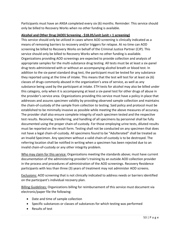Participants must have an ANSA completed every six (6) months. Reminder: This service should only be billed to Recovery Works when no other funding is available.

### **Alcohol and Other Drug (AOD) Screening - \$18.05/unit (unit = 1 screening)**

This service should only be utilized in cases where AOD screening is clinically indicated as a means of removing barriers to recovery and/or triggers for relapse. At no time can AOD screening be billed to Recovery Works on behalf of the Criminal Justice Partner (CJP). This service should only be billed to Recovery Works when no other funding is available. Organizations providing AOD screenings are expected to provide collection and analysis of appropriate samples for the multi-substance drug testing. All tests must be at least a six-panel drug tests administered with or without an accompanying alcohol breath or blood test. In addition to the six-panel standard drug test, the participant must be tested for any substance they reported using at the time of intake. This means that the test will test for at least six (6) classes of drugs commonly abused in the organization's area of service, as well as any substance being used by the participant at intake. ETH tests for alcohol may also be billed under this category, only when it is accompanying at least a six-panel test for other drugs of abuse in the provider's service area. Organizations providing this service must have a policy in place that addresses and assures specimen validity by providing observed sample collection and maintains the chain-of-custody of the sample from collection to testing. Said policy and protocol must be established to be minimally invasive as possible while meeting the above measures of accuracy. The provider shall also ensure complete integrity of each specimen tested and the respective test results. Receiving, transferring, and handling of all specimens by personnel shall be fully documented using the proper chain-of-custody. For those employing urine tests, diluted results must be reported on the result form. Testing shall not be conducted on any specimen that does not have a legal chain-of-custody. All specimens found to be "Adulterated" shall be treated as an Invalid Specimen. Any specimen without a valid chain-of-custody is to be destroyed. The referring location shall be notified in writing when a specimen has been rejected due to an invalid chain-of-custody or any other integrity problem.

Who may claim for this service: Organizations meeting the standards above; must have current documentation of the administering provider's training by an outside AOD collection provider in the process and procedures of administration of the AOD screenings. Recovery Residence participants with less than three (3) years of treatment may not administer AOD screens.

**Exclusions:** AOD screening that is not clinically indicated to address needs or barriers identified on the participant's individual recovery plan.

Billing Guidelines: Organizations billing for reimbursement of this service must document via electronic/paper file the following:

- Date and time of sample collection
- Specific substances or classes of substances for which testing was performed
- Results of test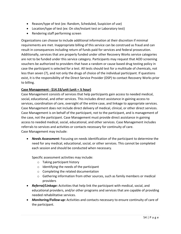- Reason/type of test (ex: Random, Scheduled, Suspicion of use)
- Location/type of test (ex: On site/Instant test or Laboratory test)
- Rendering staff performing screen

Organizations can choose to include additional information at their discretion if minimal requirements are met. Inappropriate billing of this service can be construed as fraud and can result in consequences including return of funds paid for services and federal prosecution. Additionally, services that are properly funded under other Recovery Works service categories are not to be funded under this service category. Participants may request that AOD screening vouchers be authorized to providers that have a random or cause based drug testing policy in case the participant is selected for a test. All tests should test for a multitude of chemicals, not less than seven (7), and not only the drugs of choice of the individual participant. If questions exist, it is the responsibility of the Direct Service Provider (DSP) to contact Recovery Works prior to billing.

## **Case Management - \$14.53/unit (unit = ¼ hour)**

Case Management consists of services that help participants gain access to needed medical, social, educational, and other services. This includes direct assistance in gaining access to services, coordination of care, oversight of the entire case, and linkage to appropriate services. Case Management does not include direct delivery of medical, clinical, or other direct services. Case Management is on behalf of the participant, not to the participant, and is management of the case, not the participant. Case Management must provide direct assistance in gaining access to needed medical, social, educational, and other services. Case Management includes referrals to services and activities or contacts necessary for continuity of care. Case Management may include:

• *Needs Assessment:* Focusing on needs identification of the participant to determine the need for any medical, educational, social, or other services. This cannot be completed each session and should be conducted when necessary.

Specific assessment activities may include:

- o Taking participant history
- o Identifying the needs of the participant
- o Completing the related documentation
- $\circ$  Gathering information from other sources, such as family members or medical providers
- *Referral/Linkage:* Activities that help link the participant with medical, social, and educational providers, and/or other programs and services that are capable of providing needed rehabilitative services.
- *Monitoring/Follow-up:* Activities and contacts necessary to ensure continuity of care of the participant.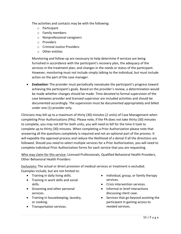The activities and contacts may be with the following:

- o Participant
- o Family members
- o Nonprofessional caregivers
- o Providers
- o Criminal Justice Providers
- o Other entities

Monitoring and follow-up are necessary to help determine if services are being furnished in accordance with the participant's recovery plan, the adequacy of the services in the treatment plan, and changes in the needs or status of the participant. However, monitoring must not include simply talking to the individual, but must include action on the part of the case manager.

• *Evaluation:* The provider must periodically reevaluate the participant's progress toward achieving the participant's goals. Based on the provider's review, a determination would be made whether changes should be made. Time devoted to formal supervision of the case between provider and licensed supervisor are included activities and should be documented accordingly. The supervision must be documented appropriately and billed under one (1) provider only.

Clinicians may bill up to a maximum of thirty (30) minutes (2 units) of Case Management when completing Prior Authorizations (PAs). Please note, if the PA does not take thirty (30) minutes to complete, you may not bill for both units, you will need to bill for the time it took to complete up to thirty (30) minutes. When completing a Prior Authorization please note that answering all the questions completely is required and not an optional part of the process. It will expedite the approval process and reduce the likelihood of a denial if all the directions are followed. Should you need to select multiple services for a Prior Authorization, you will need to complete individual Prior Authorization forms for each service that you are requesting.

Who may claim for this service: Licensed Professionals, Qualified Behavioral Health Providers, Other Behavioral Health Providers

Exclusions: The actual or direct provision of medical services or treatment is excluded. Examples include, but are not limited to:

- Training in daily living skills.
- Training in work skills and social skills.
- Grooming and other personal services.
- Training in housekeeping, laundry, or cooking.
- Transportation services.
- Individual, group, or family therapy services.
- Crisis intervention services.
- Informal or brief interactions discussing client case.
- Services that go beyond assisting the participant in gaining access to needed services.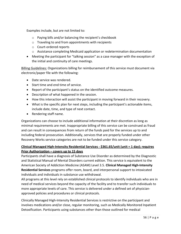Examples include, but are not limited to:

- o Paying bills and/or balancing the recipient's checkbook
- o Traveling to and from appointments with recipients
- o Court-ordered reports
- o Assistance completing Medicaid application or redetermination documentation
- Meeting the participant for "talking session" as a case manager with the exception of the initial and continuity of care meetings.

Billing Guidelines: Organizations billing for reimbursement of this service must document via electronic/paper file with the following:

- Date service was rendered.
- Start time and end time of service.
- Report of the participant's status on the identified outcome measures.
- Description of what happened in the session.
- How this interaction will assist the participant in moving forward in their recovery.
- What is the specific plan for next steps, including the participant's actionable items, include date, time, and type of next contact.
- Rendering staff name.

Organizations can choose to include additional information at their discretion as long as minimal requirements are met. Inappropriate billing of this service can be construed as fraud and can result in consequences from return of the funds paid for the services up to and including federal prosecution. Additionally, services that are properly funded under other Recovery Works service categories are not to be funded under this service category.

## **Clinical Managed High-Intensity Residential Services - \$361.65/unit (unit = 1 day); requires Prior Authorization – covers up to 15 days**

Participants shall have a diagnosis of Substance Use Disorder as determined by the Diagnostic and Statistical Manual of Mental Disorders current edition. This service is equivalent to the American Society of Addiction Medicine (ASAM) Level 3.5. **Clinical Managed High-Intensity Residential Services** programs offer room, board, and interpersonal support to intoxicated individuals and individuals in substance use withdrawal.

All programs at this level rely on established clinical protocols to identify individuals who are in need of medical services beyond the capacity of the facility and to transfer such individuals to more appropriate levels of care. This service is delivered under a defined set of physicianapproved policies and procedures or clinical protocols.

Clinically Managed High-Intensity Residential Services is restrictive on the participant and involves medications and/or close, regular monitoring, such as Medically Monitored Inpatient Detoxification. Participants using substances other than those outlined for medical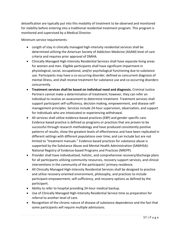detoxification are typically put into this modality of treatment to be observed and monitored for stability before entering into a traditional residential treatment program. This program is monitored and supervised by a Medical Director.

Minimum service requirements:

- Length of stay in clinically managed high-intensity residential services shall be determined utilizing the American Society of Addiction Medicine (ASAM) level of care criteria and requires prior approval of DMHA.
- Clinically Managed High-Intensity Residential Services shall have separate living areas for women and men. Eligible participants shall have significant impairment in physiological, social, occupational, and/or psychological functioning due to substance use. Participants may have a co-occurring disorder, defined as concurrent diagnosis of mental illness, and shall receive treatment for substance use and co-occurring disorders concurrently.
- **Treatment services shall be based on individual need and diagnosis.** Criminal Justice Partners cannot make a determination of treatment; however, they can refer an individual to receive an assessment to determine treatment. Treatment services shall support participant self-sufficiency, decision making, empowerment, and disease selfmanagement principles. Services include 24-hour supervision, observation, and support for individuals who are intoxicated or experiencing withdrawal.
- All services shall utilize evidence-based practices (EBP) and gender specific care. Evidence based practice is defined as programs or practices that are proven to be successful through research methodology and have produced consistently positive patterns of results; show the greatest levels of effectiveness and have been replicated in different settings with different populations over time; and can include but are not limited to "treatment manuals." Evidence based practices for substance abuse is supported by the Substance Abuse and Mental Health Administration (SAMHSA): National Registry of Evidence-based Programs and Practices (NREPP).
- Provider shall have individualized, holistic, and comprehensive recovery/discharge plans for all participants utilizing community resources, recovery support services, and clinical interventions in the community of the participants' primary residence.
- All Clinically Managed High-Intensity Residential Services shall be designed to practice and utilize recovery-oriented environment, philosophy, and practices to include participant empowerment, self-sufficiency, and recovery options as defined by the participant.
- Ability to refer to hospital providing 24-hour medical backup.
- Use of Clinically Managed High-Intensity Residential Service time as preparation for referral to another level of care.
- Recognition of the chronic nature of disease of substance dependence and the fact that some participants will require multiple admissions.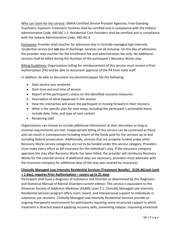Who can claim for this service: DMHA Certified Service Provider Agencies; Free-Standing Psychiatric Inpatient Treatment Facilities shall be certified and in compliance with the Indiana Administrative Code, 440 IAC 1 5. Residential Care Providers shall be certified and in compliance with the Indiana Administrative Code, 440 IAC 6.

Exclusions: Provider shall voucher for admission day in clinically managed high-intensity residential service but **not** day of discharge. Services are all inclusive. On the day of admission, the provider may voucher for the enrollment fee and administration fee only. No additional services shall be billed during the duration of the participant's Recovery Works stay.

Billing Guidelines: Organizations billing for reimbursement of this service must receive a Prior Authorization (PA) and be able to document approval of the PA from state staff.

In addition, be able to document via electronic/paper file the following:

- Date service was rendered
- Start time and end time of service
- Report of the participant's status on the identified outcome measures
- Description of what happened in the session
- How this interaction will assist the participant in moving forward in their recovery
- What is the specific plan for next steps, including the participant's actionable items, include date, time, and type of next contact
- Rendering staff

Organizations can choose to include additional information at their discretion as long as minimal requirements are met. Inappropriate billing of this service can be construed as fraud and can result in consequences including return of the funds paid for the services up to and including federal prosecution. Additionally, services that are properly funded under other Recovery Works service categories are not to be funded under this service category. Providers must make every effort to bill insurance for the individual's stay. If the insurance company approves the stay after Recovery Works has been billed, the provider will reimburse Recovery Works for the covered service. If additional days are necessary, providers must advocate with the insurance company for additional days (if the stay was covered by insurance).

# **Clinically Managed Low-Intensity Residential Services (Treatment Bundle) - \$126.46/unit (unit = 1 day); requires Prior Authorization – covers up to 21 days**

Participant shall have a diagnosis of Substance Use Disorder as determined by the Diagnostic and Statistical Manual of Mental Disorders current edition. This service is equivalent to the American Society of Addiction Medicine (ASAM) Level 3.1. Clinically Managed Low-Intensity Residential Services program offers room, board, and interpersonal support to individuals in substance use recovery. Clinically Managed Low-Intensity Residential Services provide an ongoing therapeutic environment for participants requiring some structured support in which treatment is directed toward applying recovery skills; preventing relapse; improving emotional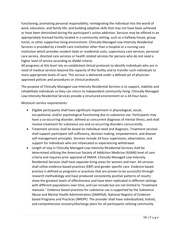functioning; promoting personal responsibility; reintegrating the individual into the world of work, education, and family life; and building adaptive skills that may not have been achieved or have been diminished during the participant's active addiction. Services may be offered in an appropriately licensed facility located in a community setting, such as a halfway house, group home, or other supportive living environment. Clinically Managed Low-Intensity Residential Services is provided by a health care institution other than a hospital or a nursing care institution which provides resident beds or residential units, supervisory care services, personal care service, directed care services or health related services for persons who do not need a higher level of service according to ASAM criteria.

All programs at this level rely on established clinical protocols to identify individuals who are in need of medical services beyond the capacity of the facility and to transfer such individuals to more appropriate levels of care. This service is delivered under a defined set of physicianapproved policies and procedures or clinical protocols.

The purpose of Clinically Managed Low-Intensity Residential Services is to support, stabilize and rehabilitate individuals so they can return to independent community living. Clinically Managed Low-Intensity Residential Services provide a structured environment on a 24-hour basis.

Minimum service requirements:

- Eligible participants shall have significant impairment in physiological, social, occupational, and/or psychological functioning due to substance use. Participants may have a co-occurring disorder, defined as concurrent diagnosis of mental illness, and shall receive treatment for substance use and co-occurring disorders concurrently.
- Treatment services shall be based on individual need and diagnosis. Treatment services shall support participant self-sufficiency, decision making, empowerment, and disease self-management principles. Services include 24-hour supervision, observation, and support for individuals who are intoxicated or experiencing withdrawal.
- Length of stay in Clinically Managed Low-Intensity Residential Services shall be determined utilizing the American Society of Addiction Medicine (ASAM) level of care criteria and requires prior approval of DMHA. Clinically Managed Low-Intensity Residential Services shall have separate living areas for women and men. All services shall utilize evidence-based practices (EBP) and gender specific care. Evidence-based practice is defined as programs or practices that are proven to be successful through research methodology and have produced consistently positive patterns of results; show the greatest levels of effectiveness and have been replicated in different settings with different populations over time; and can include but are not limited to "treatment manuals." Evidence-based practices for substance use is supported by the Substance Abuse and Mental Health Administration (SAMHSA). National Registry of Evidencebased Programs and Practices (NREPP). The provider shall have individualized, holistic, and comprehensive recovery/discharge plans for all participants utilizing community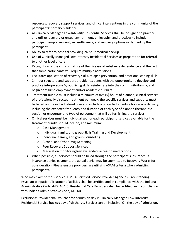resources, recovery support services, and clinical interventions in the community of the participants' primary residence.

- All Clinically Managed Low-Intensity Residential Services shall be designed to practice and utilize recovery-oriented environment, philosophy, and practices to include participant empowerment, self-sufficiency, and recovery options as defined by the participant.
- Ability to refer to hospital providing 24-hour medical backup.
- Use of Clinically Managed Low-Intensity Residential Services as preparation for referral to another level of care.
- Recognition of the chronic nature of the disease of substance dependence and the fact that some participants will require multiple admissions.
- Facilitates application of recovery skills, relapse prevention, and emotional coping skills.
- 24-hour structure and support provide residents with the opportunity to develop and practice interpersonal/group living skills, reintegrate into the community/family, and begin or resume employment and/or academic pursuits.
- Treatment Bundle must include a minimum of five (5) hours of planned, clinical services of professionally directed treatment per week; the specific services and supports must be listed on the individualized plan and include a projected schedule for service delivery, including the expected frequency and duration of each type of planned therapeutic session or encounter and type of personnel that will be furnishing the services.
- Clinical services must be individualized for each participant; services available for the treatment bundle should include, at a minimum:
	- o Case Management
	- o Individual, family, and group Skills Training and Development
	- o Individual, family, and group Counseling
	- o Alcohol and Other Drug Screening
	- o Peer Recovery Support Services
	- o Medication monitoring/review; and/or access to medications
- When possible, all services should be billed through the participant's insurance. If insurance denies payment, the actual denial may be submitted to Recovery Works for consideration. Please ensure providers are utilizing ASAM criteria when admitting participants.

Who may claim for this service: DMHA Certified Service Provider Agencies; Free-Standing Psychiatric Inpatient Treatment Facilities shall be certified and in compliance with the Indiana Administrative Code, 440 IAC 1 5. Residential Care Providers shall be certified an in compliance with Indiana Administrative Code, 440 IAC 6.

Exclusions: Provider shall voucher for admission day in Clinically Managed Low-Intensity Residential Service but **not** day of discharge. Services are all inclusive. On the day of admission,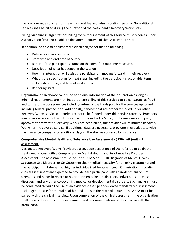the provider may voucher for the enrollment fee and administration fee only. No additional services shall be billed during the duration of the participant's Recovery Works stay.

Billing Guidelines: Organizations billing for reimbursement of this service must receive a Prior Authorization (PA) and be able to document approval of the PA from state staff.

In addition, be able to document via electronic/paper file the following:

- Date service was rendered
- Start time and end time of service
- Report of the participant's status on the identified outcome measures
- Description of what happened in the session
- How this interaction will assist the participant in moving forward in their recovery
- What is the specific plan for next steps, including the participant's actionable items, include date, time, and type of next contact
- Rendering staff

Organizations can choose to include additional information at their discretion as long as minimal requirements are met. Inappropriate billing of this service can be construed as fraud and can result in consequences including return of the funds paid for the services up to and including federal prosecution. Additionally, services that are properly funded under other Recovery Works service categories are not to be funded under this service category. Providers must make every effort to bill insurance for the individual's stay. If the insurance company approves the stay after Recovery Works has been billed, the provider will reimburse Recovery Works for the covered service. If additional days are necessary, providers must advocate with the insurance company for additional days (if the stay was covered by insurance).

# **Comprehensive Mental Health and Substance Use Assessment - \$130/unit (unit = 1 assessment)**

Designated Recovery Works Providers agree, upon acceptance of the referral, to begin the treatment process with a Comprehensive Mental Health and Substance Use Disorder Assessment. The assessment must include a DSM 5 or ICD 10 Diagnosis of Mental Health, Substance Use Disorder, or Co-Occurring; clear medical necessity for ongoing treatment; and the participant's statement of his/her individualized treatment goal. Organizations providing clinical assessment are expected to provide each participant with an in-depth analysis of strengths and needs in regard to his or her mental health disorders and/or substance use disorders, and any other co-occurring medical or developmental disorders. Such analysis must be conducted through the use of an evidence-based peer-reviewed standardized assessment tool in general use for mental health populations in the State of Indiana. The ANSA must be paired with the clinical interview. Upon completion of the clinical assessment, the organization shall discuss the results of the assessment and recommendations of the clinician with the participant.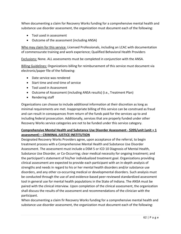When documenting a claim for Recovery Works funding for a comprehensive mental health and substance use disorder assessment, the organization must document each of the following:

- Tool used in assessment
- Outcome of the assessment (including ANSA)

Who may claim for this service: Licensed Professionals, including an LCAC with documentation of commensurate training and work experience; Qualified Behavioral Health Providers

Exclusions: None. ALL assessments must be completed in conjunction with the ANSA.

Billing Guidelines: Organizations billing for reimbursement of this service must document via electronic/paper file of the following:

- Date service was rendered
- Start time and end time of service
- Tool used in Assessment
- Outcome of Assessment (including ANSA results) (i.e., Treatment Plan)
- Rendering staff

Organizations can choose to include additional information at their discretion as long as minimal requirements are met. Inappropriate billing of this service can be construed as fraud and can result in consequences from return of the funds paid for the services up to and including federal prosecution. Additionally, services that are properly funded under other Recovery Works service categories are not to be funded under this service category.

# **Comprehensive Mental Health and Substance Use Disorder Assessment - \$205/unit (unit = 1 assessment) – CRIMINAL JUSTICE INSTITUTION**

Designated Recovery Works Providers agree, upon acceptance of the referral, to begin treatment process with a Comprehensive Mental Health and Substance Use Disorder Assessment. The assessment must include a DSM 5 or ICD 10 Diagnosis of Mental Health, Substance Use Disorder, or Co-Occurring; clear medical necessity for ongoing treatment; and the participant's statement of his/her individualized treatment goal. Organizations providing clinical assessment are expected to provide each participant with an in-depth analysis of strengths and needs in regard to his or her mental health disorders and/or substance use disorders, and any other co-occurring medical or developmental disorders. Such analysis must be conducted through the use of and evidence-based peer-reviewed standardized assessment tool in general use for mental health populations in the State of Indiana. The ANSA must be paired with the clinical interview. Upon completion of the clinical assessment, the organization shall discuss the results of the assessment and recommendations of the clinician with the participant.

When documenting a claim fir Recovery Works funding for a comprehensive mental health and substance use disorder assessment, the organization must document each of the following: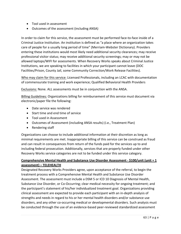- Tool used in assessment
- Outcomes of the assessment (including ANSA)

In order to claim for this service, the assessment must be performed face-to-face inside of a Criminal Justice Institution. An institution is defined as "a place where an organization takes care of people for a usually long period of time" (Merriam-Webster Dictionary). Providers entering these institutions would most likely need additional security clearances; may receive professional visitor status; may receive additional security screenings; may or may not be allowed laptops/WIFI for assessments. When Recovery Works speaks about Criminal Justice Institutions, we are speaking to facilities in which your participant cannot leave (DOC Facilities/Prison, County Jail, some Community Correction/Work Release Facilities).

Who may claim for this service: Licensed Professionals, including an LCAC with documentation of commensurate training and work experience; Qualified Behavioral Health Providers

Exclusions: None. ALL assessments must be in conjunction with the ANSA.

Billing Guidelines: Organizations billing for reimbursement of this service must document via electronic/paper file the following:

- Date service was rendered
- Start time and end time of service
- Tool used in Assessment
- Outcomes of Assessment (including ANSA results) (i.e., Treatment Plan)
- Rendering staff

Organizations can choose to include additional information at their discretion as long as minimal requirements are met. Inappropriate billing of this service can be construed as fraud and can result in consequences from return of the funds paid for the services up to and including federal prosecution. Additionally, services that are properly funded under other Recovery Works service categories are not to be funded under this service category.

## **Comprehensive Mental Health and Substance Use Disorder Assessment - \$100/unit (unit = 1 assessment) – TELEHEALTH**

Designated Recovery Works Providers agree, upon acceptance of the referral, to begin the treatment process with a Comprehensive Mental Health and Substance Use Disorder Assessment. The assessment must include a DSM 5 or ICD 10 Diagnosis of Mental Health, Substance Use Disorder, or Co-Occurring; clear medical necessity for ongoing treatment; and the participant's statement of his/her individualized treatment goal. Organizations providing clinical assessment are expected to provide each participant with an in-depth analysis of strengths and needs in regard to his or her mental health disorders and/or substance use disorders, and any other co-occurring medical or developmental disorders. Such analysis must be conducted through the use of an evidence-based peer-reviewed standardized assessment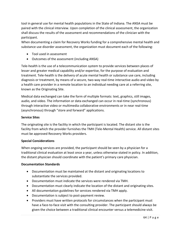tool in general use for mental health populations in the State of Indiana. The ANSA must be paired with the clinical interview. Upon completion of the clinical assessment, the organization shall discuss the results of the assessment and recommendations of the clinician with the participant.

When documenting a claim for Recovery Works funding for a comprehensive mental health and substance use disorder assessment, the organization must document each of the following:

- Tool used in assessment
- Outcomes of the assessment (including ANSA)

Tele-health is the use of a telecommunication system to provide services between places of lesser and greater medical capability and/or expertise, for the purpose of evaluation and treatment. Tele-health is the delivery of acute mental health or substance use care, including diagnosis or treatment, by means of a secure, two-way real-time interactive audio and video by a health care provider in a remote location to an individual needing care at a referring site, known as the Originating Site.

Medical data exchanged can take the form of multiple formats: text, graphics, still images, audio, and video. The information or data exchanged can occur in real-time (synchronous) through interactive video or multimedia collaborative environments or in near real-time (asynchronous) through "store and forward" applications.

#### **Service Sites**

The originating site is the facility in which the participant is located. The distant site is the facility from which the provider furnishes the TMH (Tele-Mental Health) service. All distant sites must be approved Recovery Works providers.

#### **Special Considerations**

When ongoing services are provided, the participant should be seen by a physician for a traditional clinical evaluation at least once a year, unless otherwise stated in policy. In addition, the distant physician should coordinate with the patient's primary care physician.

#### **Documentation Standards**

- Documentation must be maintained at the distant and originating locations to substantiate the services provided.
- Documentation must indicate the services were rendered via TMH.
- Documentation must clearly indicate the location of the distant and originating sites.
- All documentation guidelines for services rendered via TMH apply.
- Documentation is subject to post-payment review.
- Providers must have written protocols for circumstances when the participant must have a face-to-face visit with the consulting provider. The participant should always be given the choice between a traditional clinical encounter versus a telemedicine visit.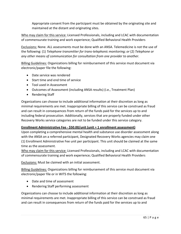Appropriate consent from the participant must be obtained by the originating site and maintained at the distant and originating sites.

Who may claim for this service: Licensed Professionals, including and LCAC with documentation of commensurate training and work experience; Qualified Behavioral Health Providers

Exclusions: None. ALL assessments must be done with an ANSA. Telemedicine is not the use of the following: (1) *Telephone transmitter for trans-telephonic monitoring; or* (2) *Telephone or any other means of communication for consultation from one provider to another.*

Billing Guidelines: Organizations billing for reimbursement of this service must document via electronic/paper file the following:

- Date service was rendered
- Start time and end time of service
- Tool used in Assessment
- Outcomes of Assessment (including ANSA results) (i.e., Treatment Plan)
- Rendering Staff

Organizations can choose to include additional information at their discretion as long as minimal requirements are met. Inappropriate billing of this service can be construed as fraud and can result in consequences from return of the funds paid for the services up to and including federal prosecution. Additionally, services that are properly funded under other Recovery Works service categories are not to be funded under this service category.

#### **Enrollment Administrative Fee - \$50.00/unit (unit = 1 enrollment assessment)**

Upon completing a comprehensive mental health and substance use disorder assessment along with the ANSA on a referred participant, Designated Recovery Works agencies may claim one (1) Enrollment Administrative Fee unit per participant. This unit should be claimed at the same time as the assessment.

Who may claim for this service: Licensed Professionals, including and LCAC with documentation of commensurate training and work experience; Qualified Behavioral Health Providers

Exclusions: Must be claimed with an initial assessment.

Billing Guidelines: Organizations billing for reimbursement of this service must document via electronic/paper file or in WITS the following:

- Date and time of assessment
- Rendering Staff performing assessment

Organizations can choose to include additional information at their discretion as long as minimal requirements are met. Inappropriate billing of this service can be construed as fraud and can result in consequences from return of the funds paid for the services up to and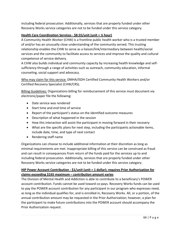including federal prosecution. Additionally, services that are properly funded under other Recovery Works service categories are not to be funded under this service category.

# **Health Care Coordination Services - \$8.55/unit (unit = ¼ hour)**

A Community Health Worker (CHW) is a frontline public health worker who is a trusted member of and/or has an unusually close understanding of the community served. This trusting relationship enables the CHW to serve as a liaison/link/intermediary between health/social services and the community to facilitate access to services and improve the quality and cultural competence of service delivery.

A CHW also builds individual and community capacity by increasing health knowledge and selfsufficiency through a range of activities such as outreach, community education, informal counseling, social support and advocacy.

Who may claim for this service: DMHA/ISDH Certified Community Health Workers and/or Certified Recovery Specialist (CHW/CRS).

Billing Guidelines: Organizations billing for reimbursement of this service must document via electronic/paper file the following:

- Date service was rendered
- Start time and end time of service
- Report of the participant's status on the identified outcome measures
- Description of what happened in the session
- How this interaction will assist the participant in moving forward in their recovery
- What are the specific plans for next step, including the participants actionable items, include date, time, and type of next contact
- Rendering staff name

Organizations can choose to include additional information at their discretion as long as minimal requirements are met. Inappropriate billing of this service can be construed as fraud and can result in consequences from return of the funds paid for the services up to and including federal prosecution. Additionally, services that are properly funded under other Recovery Works service categories are not to be funded under this service category.

# **HIP Power Account Contribution - \$1/unit (unit = 1 dollar); requires Prior Authorization for claims exceeding \$165 maximum – contribution amount varies**

The Division of Mental Health and Addiction is able to contribute to a beneficiary's POWER account contribution. Funds cannot be used toward co-pays. Recovery Works funds can be used to pay the POWER account contribution for any participant in our program who expresses need, as long as the individual qualifies for, and is enrolled in, Recovery Works. All, or a portion, of the annual contribution amount may be requested in the Prior Authorization; however, a plan for the participant to make future contributions into the POWER account should accompany the Prior Authorization request.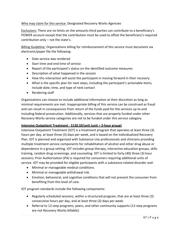# Who may claim for this service: Designated Recovery Works Agencies

Exclusions: There are no limits on the amounts third parties can contribute to a beneficiary's POWER account except that the contribution must be used to offset the beneficiary's required contribution only – not the state's.

Billing Guideline: Organizations billing for reimbursement of this service must document via electronic/paper file the following:

- Date service was rendered
- Start time and end time of service
- Report of the participant's status on the identified outcome measures
- Description of what happened in the session
- How this interaction will assist the participant in moving forward in their recovery
- What is the specific plan for next steps, including the participant's actionable items, include date, time, and type of next contact
- Rendering staff

Organizations can choose to include additional information at their discretion as long as minimal requirements are met. Inappropriate billing of this service can be construed as fraud and can result in consequences from return of the funds paid for the services up to and including federal prosecution. Additionally, services that are properly funded under other Recovery Works service categories are not to be funded under this service category.

#### **Intensive Outpatient Treatment - \$130.59/unit (unit = 3-hour group)**

Intensive Outpatient Treatment (IOT) is a treatment program that operates at least three (3) hours per day, at least three (3) days per week, and is based on the Individualized Recovery Plan. IOT is planned and organized with Substance Use professionals and clinicians providing multiple treatment service components for rehabilitation of alcohol and other drug abuse or dependence in a group setting. IOT includes group therapy, interactive education groups, skills training, random drug screenings, and counseling. IOT is limited to forty (40) three (3) hour sessions; Prior Authorization (PA) is required for consumers requiring additional units of service. IOT may be provided for eligible participants with a substance-related disorder and:

- Minimal or manageable medical conditions.
- Minimal or manageable withdrawal risk.
- Emotion, behavioral, and cognitive conditions that will not prevent the consumer from benefiting from this level of care.

IOT program standards include the following components:

- Regularly scheduled sessions, within a structured program, that are at least three (3) consecutive hours per day, and at least three (3) days per week.
- Referral to 12-step programs, peers, and other community supports (12-step programs are not Recovery Works billable).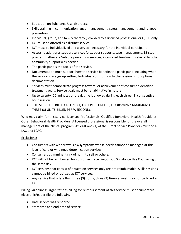- Education on Substance Use disorders.
- Skills training in communication, anger management, stress management, and relapse prevention.
- Individual, group, and family therapy (provided by a licensed professional or QBHP only).
- IOT must be offered as a distinct service.
- IOT must be individualized and a service necessary for the individual participant.
- Access to additional support services (e.g., peer supports, case management, 12-step programs, aftercare/relapse prevention services, integrated treatment, referral to other community supports) as needed.
- The participant is the focus of the service.
- Documentation must support how the service benefits the participant, including when the service is in a group setting. Individual contribution to the session is not optional documentation.
- Services must demonstrate progress toward, or achievement of consumer identified treatment goals. Service goals must be rehabilitative in nature.
- Up to twenty (20) minutes of break time is allowed during each three (3) consecutive hour session.
- THIS SERVICE IS BILLED AS ONE (1) UNIT PER THREE (3) HOURS with a MAXIMUM OF THREE (3) UNITS BILLED PER WEEK ONLY.

Who may claim for this service: Licensed Professionals; Qualified Behavioral Health Providers; Other Behavioral Health Providers. A licensed professional is responsible for the overall management of the clinical program. At least one (1) of the Direct Service Providers must be a LAC or a LCAC.

#### Exclusions:

- Consumers with withdrawal risk/symptoms whose needs cannot be managed at this level of care or who need detoxification services.
- Consumers at imminent risk of harm to self or others.
- IOT will not be reimbursed for consumers receiving Group Substance Use Counseling on the same day.
- IOT sessions that consist of education services only are not reimbursable. Skills sessions cannot be billed or utilized as IOT services.
- Any service that is less than three (3) hours, three (3) times a week may not be billed as IOT.

Billing Guidelines: Organizations billing for reimbursement of this service must document via electronic/paper file the following:

- Date service was rendered
- Start time and end time of service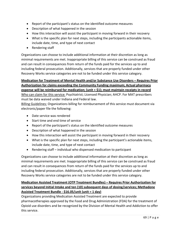- Report of the participant's status on the identified outcome measures
- Description of what happened in the session
- How this interaction will assist the participant in moving forward in their recovery
- What is the specific plan for next steps, including the participants actionable items, include date, time, and type of next contact
- Rendering staff

Organizations can choose to include additional information at their discretion as long as minimal requirements are met. Inappropriate billing of this service can be construed as fraud and can result in consequences from return of the funds paid for the services up to and including federal prosecution. Additionally, services that are properly funded under other Recovery Works service categories are not to be funded under this service category.

# **Medication for Treatment of Mental Health and/or Substance Use Disorders – Requires Prior Authorization for claims exceeding the Community Funding maximum; Actual pharmacy expense will be reimbursed for medication; (unit = \$1); must maintain receipts in record** Who can claim for this service: Psychiatrist; Licensed Physician; AHCP. For MAT prescribers must be data waived under Indiana and Federal law.

Billing Guidelines: Organizations billing for reimbursement of this service must document via electronic/paper file the following:

- Date service was rendered
- Start time and end time of service
- Report of the participant's status on the identified outcome measures
- Description of what happened in the session
- How this interaction will assist the participant in moving forward in their recovery
- What is the specific plan for next steps, including the participant's actionable items, include date, time, and type of next contact
- Rendering staff individual who dispensed medication to participant

Organizations can choose to include additional information at their discretion as long as minimal requirements are met. Inappropriate billing of this service can be construed as fraud and can result in consequences from return of the funds paid for the services up to and including federal prosecution. Additionally, services that are properly funded under other Recovery Works service categories are not to be funded under this service category.

# **Medication Assisted Treatment (OTP Treatment Bundles) – Requires Prior Authorization for services beyond Initial Intake and ten (10) subsequent days of dosing/services; Methadone Assisted Treatment Bundle - \$16.05/unit (unit = 1 day)**

Organizations providing Medication Assisted Treatment are expected to provide pharmacotherapies approved by the Food and Drug Administration (FDA) for the treatment of Opioid use disorders and be recognized by the Division of Mental Health and Addiction to offer this service.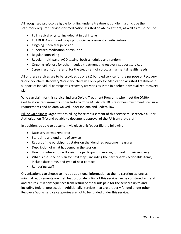All recognized protocols eligible for billing under a treatment bundle must include the statutorily required services for medication assisted opiate treatment, as well as must include:

- Full medical physical included at initial intake
- Full DMHA approved bio-psychosocial assessment at initial intake
- Ongoing medical supervision
- Supervised medication distribution
- Regular counseling
- Regular multi-panel AOD testing, both scheduled and random
- Ongoing referrals for other needed treatment and recovery support services
- Screening and/or referral for the treatment of co-occurring mental health needs

All of these services are to be provided as one (1) bundled service for the purpose of Recovery Works vouchers. Recovery Works vouchers will only pay for Medication Assisted Treatment in support of individual participant's recovery activities as listed in his/her individualized recovery plan.

Who can claim for this service: Indiana Opioid Treatment Programs who meet the DMHA Certification Requirements under Indiana Code 440 Article 10. Prescribers must meet licensure requirements and be data waived under Indiana and Federal law.

Billing Guidelines: Organizations billing for reimbursement of this service must receive a Prior Authorization (PA) and be able to document approval of the PA from state staff.

In addition, be able to document via electronic/paper file the following:

- Date service was rendered
- Start time and end time of service
- Report of the participant's status on the identified outcome measures
- Description of what happened in the session
- How this interaction will assist the participant in moving forward in their recovery
- What is the specific plan for next steps, including the participant's actionable items, include date, time, and type of next contact
- Rendering staff

Organizations can choose to include additional information at their discretion as long as minimal requirements are met. Inappropriate billing of this service can be construed as fraud and can result in consequences from return of the funds paid for the services up to and including federal prosecution. Additionally, services that are properly funded under other Recovery Works service categories are not to be funded under this service.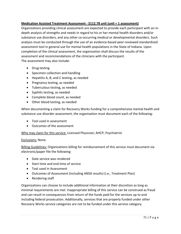# **Medication Assisted Treatment Assessment - \$112.78 unit (unit = 1 assessment)**

Organizations providing clinical assessment are expected to provide each participant with an indepth analysis of strengths and needs in regard to his or her mental health disorders and/or substance use disorders, and any other co-occurring medical or developmental disorders. Such analysis must be conducted through the use of an evidence-based peer-reviewed standardized assessment tool in general use for mental health populations in the State of Indiana. Upon completion of the clinical assessment, the organization shall discuss the results of the assessment and recommendations of the clinicians with the participant. The assessment may also include:

- Drug testing
- Specimen collection and handling
- Hepatitis A, B, and C testing, as needed
- Pregnancy testing, as needed
- Tuberculous testing, as needed
- Syphilis testing, as needed
- Complete blood count, as needed
- Other blood testing, as needed

When documenting a claim for Recovery Works funding for a comprehensive mental health and substance use disorder assessment, the organization must document each of the following:

- Tool used in assessment
- Outcomes of the assessment

Who may claim for this service: Licensed Physician; AHCP; Psychiatrist

#### Exclusions: None.

Billing Guidelines: Organizations billing for reimbursement of this service must document via electronic/paper file the following:

- Date service was rendered
- Start time and end time of service
- Tool used in Assessment
- Outcomes of Assessment (including ANSA results) (i.e., Treatment Plan)
- Rendering staff

Organizations can choose to include additional information at their discretion as long as minimal requirements are met. Inappropriate billing of this service can be construed as fraud and can result in consequences from return of the funds paid for the services up to and including federal prosecution. Additionally, services that are properly funded under other Recovery Works service categories are not to be funded under this service category.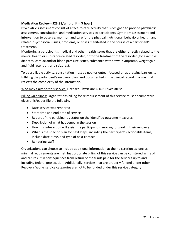# **Medication Review - \$23.88/unit (unit = ¼ hour)**

Psychiatric Assessment consist of a face-to-face activity that is designed to provide psychiatric assessment, consultation, and medication services to participants. Symptom assessment and intervention to observe, monitor, and care for the physical, nutritional, behavioral health, and related psychosocial issues, problems, or crises manifested in the course of a participant's treatment.

Monitoring a participant's medical and other health issues that are either directly related to the mental health or substance-related disorder, or to the treatment of the disorder (for example: diabetes, cardiac and/or blood pressure issues, substance withdrawal symptoms, weight gain and fluid retention, and seizures).

To be a billable activity, consultation must be goal-oriented, focused on addressing barriers to fulfilling the participant's recovery plan, and documented in the clinical record in a way that reflects the complexity of the interaction.

#### Who may claim for this service: Licensed Physician; AHCP; Psychiatrist

Billing Guidelines: Organizations billing for reimbursement of this service must document via electronic/paper file the following:

- Date service was rendered
- Start time and end time of service
- Report of the participant's status on the identified outcome measures
- Description of what happened in the session
- How this interaction will assist the participant in moving forward in their recovery
- What is the specific plan for next steps, including the participant's actionable items, include date, time, and type of next contact
- Rendering staff

Organizations can choose to include additional information at their discretion as long as minimal requirements are met. Inappropriate billing of this service can be construed as fraud and can result in consequences from return of the funds paid for the services up to and including federal prosecution. Additionally, services that are properly funded under other Recovery Works service categories are not to be funded under this service category.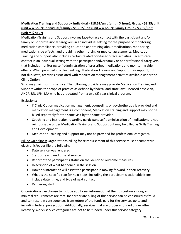# **Medication Training and Support – Individual - \$18.62/unit (unit = ¼ hour); Group - \$3.35/unit (unit = ¼ hour); Individual/Family - \$18.62/unit (unit = ¼ hour); Family Group - \$3.35/unit (unit = ¼ hour)**

Medication Training and Support involves face-to-face contact with the participant and/or family or nonprofessional caregivers in an individual setting for the purpose of monitoring medication compliance, providing education and training about medications, monitoring medication side effects, and providing other nursing or medical assessments. Medication Training and Support also includes certain related non-face-to-face activities. Face-to-face contact in an individual setting with the participant and/or family or nonprofessional caregivers that includes monitoring self-administration of prescribed medications and monitoring side effects. When provided in a clinic setting, Medication Training and Support may support, but not duplicate, activities associated with medication management activities available under the Clinic Option.

Who may claim for this service: The following providers may provide Medication Training and Support within the scope of practice as defined by federal and state law: Licensed physician, AHCP, RN, LPN, MA who has graduated from a two (2) year clinical program.

# Exclusions:

- If Clinic Option medication management, counseling, or psychotherapy is provided and medication management is a component, Medication Training and Support may not be billed separately for the same visit by the same provider.
- Coaching and instruction regarding participant self-administration of medications is not reimbursable under Medication Training and Support but may be billed as Skills Training and Development.
- Medication Training and Support may not be provided for professional caregivers.

Billing Guidelines: Organizations billing for reimbursement of this service must document via electronic/paper file the following:

- Date service was rendered
- Start time and end time of service
- Report of the participant's status on the identified outcome measures
- Description of what happened in the session
- How this interaction will assist the participant in moving forward in their recovery
- What is the specific plan for next steps, including the participant's actionable items, include date, time, and type of next contact
- Rendering staff

Organizations can choose to include additional information at their discretion as long as minimal requirements are met. Inappropriate billing of this service can be construed as fraud and can result in consequences from return of the funds paid for the services up to and including federal prosecution. Additionally, services that are properly funded under other Recovery Works service categories are not to be funded under this service category.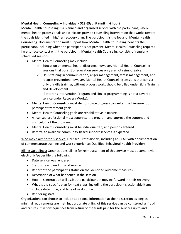# **Mental Health Counseling – Individual - \$28.65/unit (unit = ¼ hour)**

Mental Health Counseling is a planned and organized service with the participant, where mental health professionals and clinicians provide counseling intervention that works toward the goals identified in his/her recovery plan. The participant is the focus of Mental Health Counseling. Documentation must support how Mental Health Counseling benefits the participant, including when the participant is not present. Mental Health Counseling requires face-to-face contact with the participant. Mental Health Counseling consists of regularly scheduled sessions.

- Mental Health Counseling may include:
	- $\circ$  Education on mental health disorders; however, Mental Health Counseling sessions that consist of education services only are not reimbursable.
	- $\circ$  Skills training in communication, anger management, stress management, and relapse prevention; however, Mental Health Counseling sessions that consist only of skills training, without process work, should be billed under Skills Training and Development.

(Batterer's Intervention Program and similar programming is not a covered service under Recovery Works).

- Mental Health Counseling must demonstrate progress toward and achievement of participant treatment goals.
- Mental Health Counseling goals are rehabilitative in nature.
- A licensed professional must supervise the program and approve the content and curriculum of the program.
- Mental Health Counseling must be individualized, and person centered.
- Referral to available community-based support services is expected.

Who may claim for this service: Licensed Professionals, including an LCAC with documentation of commensurate training and work experience; Qualified Behavioral Health Providers

Billing Guidelines: Organizations billing for reimbursement of this service must document via electronic/paper file the following:

- Date service was rendered
- Start time and end time of service
- Report of the participant's status on the identified outcome measures
- Description of what happened in the session
- How this interaction will assist the participant in moving forward in their recovery
- What is the specific plan for next steps, including the participant's actionable items, include date, time, and type of next contact
- Rendering staff

Organizations can choose to include additional information at their discretion as long as minimal requirements are met. Inappropriate billing of this service can be construed as fraud and can result in consequences from return of the funds paid for the services up to and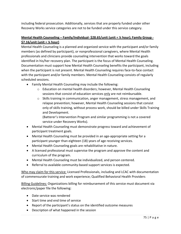including federal prosecution. Additionally, services that are properly funded under other Recovery Works service categories are not to be funded under this service category.

# **Mental Health Counseling – Family/Individual- \$28.65/unit (unit = ¼ hour); Family Group - \$7.16/unit (unit = ¼ hour)**

Mental Health Counseling is a planned and organized service with the participant and/or family members (as defined by participant), or nonprofessional caregivers, where Mental Health professionals and clinicians provide counseling intervention that works toward the goals identified in his/her recovery plan. The participant is the focus of Mental Health Counseling. Documentation must support how Mental Health Counseling benefits the participant, including when the participant is not present. Mental Health Counseling requires face-to-face contact with the participant and/or family members. Mental Health Counseling consists of regularly scheduled sessions.

- Family Mental Health Counseling may include the following:
	- o Education on mental health disorders; however, Mental Health Counseling sessions that consist of education services only are not reimbursable.
	- $\circ$  Skills training in communication, anger management, stress management, and relapse prevention; however, Mental Health Counseling sessions that consist only of skills training, without process work, should be billed under Skills Training and Development.

(Batterer's Intervention Program and similar programming is not a covered service under Recovery Works).

- Mental Health Counseling must demonstrate progress toward and achievement of participant treatment goals.
- Mental Health Counseling must be provided in an age-appropriate setting for a participant younger than eighteen (18) years of age receiving services.
- Mental Health Counseling goals are rehabilitative in nature.
- A licensed professional must supervise the program and approve the content and curriculum of the program.
- Mental Health Counseling must be individualized, and person centered.
- Referral to available community-based support services is expected.

Who may claim for this service: Licensed Professionals, including and LCAC with documentation of commensurate training and work experience; Qualified Behavioral Health Providers

- Date service was rendered
- Start time and end time of service
- Report of the participant's status on the identified outcome measures
- Description of what happened in the session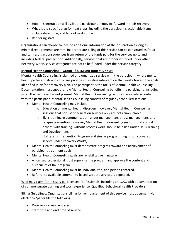- How this interaction will assist the participant in moving forward in their recovery
- What is the specific plan for next steps, including the participant's actionable items, include date, time, and type of next contact
- Rendering staff

Organizations can choose to include additional information at their discretion as long as minimal requirements are met. Inappropriate billing of this service can be construed as fraud and can result in consequences from return of the funds paid for the services up to and including federal prosecution. Additionally, services that are properly funded under other Recovery Works service categories are not to be funded under this service category.

# **Mental Health Counseling – Group - \$7.16/unit (unit = ¼ hour)**

Mental Health Counseling is planned and organized service with the participant, where mental health professionals and clinicians provide counseling intervention that works toward the goals identified in his/her recovery plan. The participant is the focus of Mental Health Counseling. Documentation must support how Mental Health Counseling benefits the participant, including when the participant is not present. Mental Health Counseling requires face-to-face contact with the participant. Mental Health Counseling consists of regularly scheduled sessions.

- Mental Health Counseling may include:
	- o Education on mental health disorders; however, Mental Health Counseling sessions that consist of education services only are not reimbursable.
	- $\circ$  Skills training in communication, anger management, stress management, and relapse prevention; however, Mental Health Counseling sessions that consist only of skills training, without process work, should be billed under Skills Training and Development.

(Batterer's Intervention Program and similar programming is not a covered service under Recovery Works).

- Mental Health Counseling must demonstrate progress toward and achievement of participant treatment goals.
- Mental Health Counseling goals are rehabilitative in nature.
- A licensed professional must supervise the program and approve the content and curriculum of the program.
- Mental Health Counseling must be individualized, and person centered.
- Referral to available community-based support services is expected.

Who may claim for this service: Licensed Professionals, including an LCAC with documentation of commensurate training and work experience; Qualified Behavioral Health Providers

- Date service was rendered
- Start time and end time of service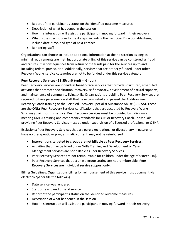- Report of the participant's status on the identified outcome measures
- Description of what happened in the session
- How this interaction will assist the participant in moving forward in their recovery
- What is the specific plan for next steps, including the participant's actionable items, include date, time, and type of next contact
- Rendering staff

Organizations can choose to include additional information at their discretion as long as minimal requirements are met. Inappropriate billing of this service can be construed as fraud and can result in consequences from return of the funds paid for the services up to and including federal prosecution. Additionally, services that are properly funded under other Recovery Works service categories are not to be funded under this service category.

# **Peer Recovery Services - \$8.55/unit (unit = ¼ hour)**

Peer Recovery Services are **individual face-to-face** services that provide structured, scheduled activities that promote socialization, recovery, self-advocacy, development of natural supports, and maintenance of community living skills. Organizations providing Peer Recovery Services are required to have personnel on staff that have completed and passed the Addition Peer Recovery Coach training or the Certified Recovery Specialist-Substance Abuse (CRS-SA). These are the **ONLY** Peer Recovery Services certifications that are accepted by Recovery Works. Who may claim for this service: Peer Recovery Services must be provided by individuals meeting DMHA training and competency standards for CRS or Recovery Coach. Individuals providing Peer Recovery Services must be under supervision of a licensed professional or QBHP.

Exclusions: Peer Recovery Services that are purely recreational or diversionary in nature, or have no therapeutic or programmatic content, may not be reimbursed.

- **Interventions targeted to groups are not billable as Peer Recovery Services.**
- Activities that may be billed under Skills Training and Development or Case Management services are not billable as Peer Recovery Services.
- Peer Recovery Services are not reimbursable for children under the age of sixteen (16).
- Peer Recovery Services that occur in a group setting are not reimbursable. **Peer Recovery Services are individual service support only.**

- Date service was rendered
- Start time and end time of service
- Report of the participant's status on the identified outcome measures
- Description of what happened in the session
- How this interaction will assist the participant in moving forward in their recovery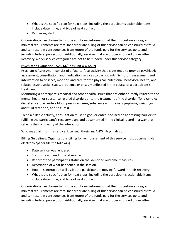- What is the specific plan for next steps, including the participants actionable items, include date, time, and type of next contact
- Rendering staff

Organizations can choose to include additional information at their discretion as long as minimal requirements are met. Inappropriate billing of this service can be construed as fraud and can result in consequences from return of the funds paid for the services up to and including federal prosecution. Additionally, services that are properly funded under other Recovery Works service categories are not to be funded under this service category.

#### **Psychiatric Evaluation - \$26.14/unit (unit = ¼ hour)**

Psychiatric Assessment consist of a face-to-face activity that is designed to provide psychiatric assessment, consultation, and medication services to participants. Symptom assessment and intervention to observe, monitor, and care for the physical, nutritional, behavioral health, and related psychosocial issues, problems, or crises manifested in the course of a participant's treatment.

Monitoring a participant's medical and other health issues that are either directly related to the mental health or substance-related disorder, or to the treatment of the disorder (for example: diabetes, cardiac and/or blood pressure issues, substance withdrawal symptoms, weight gain and fluid retention, and seizures).

To be a billable activity, consultation must be goal-oriented, focused on addressing barriers to fulfilling the participant's recovery plan, and documented in the clinical record in a way that reflects the complexity of the interaction.

#### Who may claim for this service: Licensed Physician; AHCP; Psychiatrist

Billing Guidelines: Organizations billing for reimbursement of this service must document via electronic/paper file the following:

- Date service was rendered
- Start time and end time of service
- Report of the participant's status on the identified outcome measures
- Description of what happened in the session
- How this interaction will assist the participant in moving forward in their recovery
- What is the specific plan for next steps, including the participant's actionable items, include date, time, and type of next contact

Organizations can choose to include additional information at their discretion as long as minimal requirements are met. Inappropriate billing of this service can be construed as fraud and can result in consequences from return of the funds paid for the services up to and including federal prosecution. Additionally, services that are properly funded under other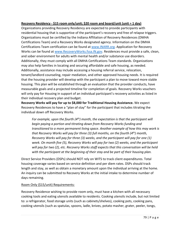# **Recovery Residency - \$15 room only/unit; \$20 room and board/unit (unit = 1 day)**

Organizations providing Recovery Residency are expected to provide participants with residential housing that is supportive of the participant's recovery and free of relapse triggers. Organizations must be certified by the Indiana Affiliation of Recovery Residences (DMHA Certifications Team) and a Recovery Works designated agency. Information on the DMHA Certifications Team certification can be found at [www.INARR.org.](http://www.inarr.org/) Application for Recovery Works can be found at [www.RecoveryWorks.fssa.IN.gov.](http://www.recoveryworks.fssa.in.gov/) Residences must provide a safe, clean, and sober environment for adults with mental health and/or substance use disorders. Additionally, they must comply with all DMHA Certifications Team standards. Organizations may also help families in locating and securing affordable and safe housing, as needed. Additionally, assistance may include accessing a housing referral service, relocation, tenant/landlord counseling, repair mediation, and other approved housing needs. It is required that the housing provider will develop with the participant a plan to move toward more stable housing. This plan will be established through an evaluation that the provider conducts, have measurable goals and a projected timeline for completion of goals. Recovery Works vouchers will only pay for Housing in support of an individual participant's recovery activities as listed in their individual recovery plan and budget.

**Recovery Works will pay for up to \$8,000 for Traditional Housing Assistance.** We expect Recovery Residences to have a "plan of stay" for the participant that includes titrating the individual down off Recovery Works.

*For example, upon the fourth (4th) month, the expectation is that the participant will begin paying a portion and titrating down from Recovery Works funding and transitioned to a more permanent living space. Another example of how this may work is that Recovery Works will pay for three (3) full months, on the fourth (4th) month, Recovery Works will pay for three (3) weeks, and the participant will pay for one (1) week. On month five (5), Recovery Works will pay for two (2) weeks, and the participant will pay for two (2), etc. Recovery Works staff expects that this conversation will be held with the participant at the beginning of their stay and be part of their housing plan.*

Direct Service Providers (DSPs) should NOT rely on WITS to track client expenditures. Total housing coverage varies based on service definition and per diem rates. DSPs should track length and stay, as well as obtain a monetary amount upon the individual arriving at the home. An inquiry can be submitted to Recovery Works at the initial intake to determine number of days remaining.

#### Room Only (\$15/unit) Requirements:

Recovery Residence wishing to provide room only, must have a kitchen with all necessary cooking tools and eating utensils available to residents. Cooking utensils include, but not limited to: a refrigerator, food storage units (such as cabinets/shelves), cooking pots, cooking pans, cooking utensils (such as spatulas, spoons, ladle, knives, potato masher, grater, peeler, tongs,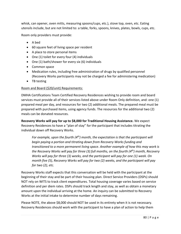whisk, can opener, oven mitts, measuring spoons/cups, etc.), stove top, oven, etc. Eating utensils include, but are not limited to: a table, forks, spoons, knives, plates, bowls, cups, etc.

Room only providers must provide:

- A bed
- 60 square feet of living space per resident
- A place to store personal items
- One (1) toilet for every four (4) individuals
- One (1) bath/shower for every six (6) individuals
- Common space
- Medication rules, including free administration of drugs by qualified personnel (Recovery Works participants may not be charged a fee for administering medication)
- TB testing

#### Room and Board (\$20/unit) Requirements:

DMHA Certifications Team Certified Recovery Residences wishing to provide room and board services must provide all of their services listed above under Room Only definition, and: one (1) prepared meal per day, and resources for two (2) additional meals. The prepared meal must be prepared with purchased items, using agency funds. The resources for the additional two (2) meals can be donated resources.

**Recovery Works will pay for up to \$8,000 for Traditional Housing Assistance.** We expect Recovery Residences to have a "plan of stay" for the participant that includes titrating the individual down off Recovery Works.

*For example, upon the fourth (4th) month, the expectation is that the participant will begin paying a portion and titrating down from Recovery Works funding and transitioned to a more permanent living space. Another example of how this may work is the Recovery Works will pay for three (3) full months, on the fourth (4th) month, Recovery Works will pay for three (3) weeks, and the participant will pay for one (1) week. On month five (5), Recovery Works will pay for two (2) weeks, and the participant will pay for two (2), etc.*

Recovery Works staff expects that this conversation will be held with the participant at the beginning of their stay and be part of their housing plan. Direct Service Providers (DSPs) should NOT rely on WITS to track client expenditures. Total housing coverage varies based on service definition and per diem rates. DSPs should track length and stay, as well as obtain a monetary amount upon the individual arriving at the home. An inquiry can be submitted to Recovery Works at the initial intake to determine number of days remaining.

Please NOTE, the above \$8,000 should NOT be used in its entirety when it is not necessary. Recovery Residences should work with the participant to have a plan of action to help them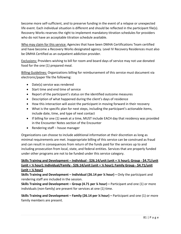become more self-sufficient, and to preserve funding in the event of a relapse or unexpected life event. Each individual situation is different and should be reflected in the participant file(s). Recovery Works reserves the right to implement mandatory titration schedules for providers who do not have an acceptable titration schedule available.

Who may claim for this service: Agencies that have been DMHA Certifications Team certified and have become a Recovery Works designated agency. Level IV Recovery Residences must also be DMHA Certified as an outpatient addiction provider.

Exclusions: Providers wishing to bill for room and board days of service may not use donated food for the one (1) prepared meal.

Billing Guidelines: Organizations billing for reimbursement of this service must document via electronic/paper file the following:

- Date(s) service was rendered
- Start time and end time of service
- Report of the participant's status on the identified outcome measures
- Description of what happened during the client's days of residence
- How this interaction will assist the participant in moving forward in their recovery
- What is the specific plan for next steps, including the participant's actionable items, include date, time, and type of next contact
- If billing for one (1) week at a time, MUST include EACH day that residency was provided in the Encounter Notes section of the Encounter
- Rendering staff house manager

Organizations can choose to include additional information at their discretion as long as minimal requirements are met. Inappropriate billing of this service can be construed as fraud and can result in consequences from return of the funds paid for the services up to and including prosecution from local, state, and federal entities. Services that are properly funded under other programs are not to be funded under this service category.

# **Skills Training and Development – Individual - \$26.14/unit (unit = ¼ hour); Group - \$4.71/unit (unit = ¼ hour); Individual/Family - \$26.14/unit (unit = ¼ hour); Family Group - \$4.71/unit (unit = ¼ hour)**

**Skills Training and Development – Individual (26.14 per ¼ hour) – Only the participant and** rendering staff are included in the session.

**Skills Training and Development – Group (4.71 per ¼ hour) –** Participant and one (1) or more individuals (non-family) are present for services at one (1) time.

**Skills Training and Development – Family (26.14 per ¼ hour) –** Participant and one (1) or more family members are present.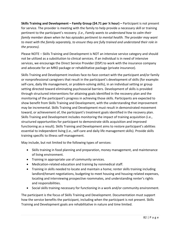**Skills Training and Development – Family Group (\$4.71 per ¼ hour) –** Participant is not present for service. The provider is meeting with the family to help provide a necessary skill or training pertinent to the participant's recovery. *(i.e., Family wants to understand how to calm their family member down when he has episodes pertinent to mental health. The provider may want to meet with the family separately, to ensure they are fully trained and understand their role in the process).*

Please NOTE – Skills Training and Development is NOT an intensive service category and should not be utilized as a substitution to clinical services. If an individual is in need of intensive services, we encourage the Direct Service Provider (DSP) to work with the insurance company and advocate for an MRO package or rehabilitative package (private insurance).

Skills Training and Development involves face-to-face contact with the participant and/or family or nonprofessional caregivers that result in the participant's development of skills (for example: self-care, daily life management, or problem-solving skills), in an individual setting or group setting directed toward eliminating psychosocial barriers. Development of skills is provided through structured interventions for attaining goals identified in the recovery plan and the monitoring of the participant's progress in achieving those skills. Participants are expected to show benefit from Skills Training and Development, with the understanding that improvement may be incremental. Skills Training and Development must result in demonstrated movement toward, or achievement of, the participant's treatment goals identified in the recovery plan. Skills Training and Development includes monitoring the impact of training acquisition (i.e., structured opportunities for participant to demonstrate skills acquisition and improved functioning as a result). Skills Training and Development aims to restore participant's abilities essential to independent living (i.e., self-care and daily life management skills). Provide skills training specific to illness self-management.

May include, but not limited to the following types of services:

- Skills training in food planning and preparation, money management, and maintenance of living environment.
- Training in appropriate use of community services.
- Medication-related education and training by nonmedical staff.
- Training in skills needed to locate and maintain a home; renter skills training including landlord/tenant negotiations, budgeting to meet housing and housing-related expenses, locating and interviewing prospective roommates, and understanding renter's rights and responsibilities.
- Social skills training necessary for functioning in a work and/or community environment.

The participant is the focus of Skills Training and Development. Documentation must support how the service benefits the participant, including when the participant is not present. Skills Training and Development goals are rehabilitative in nature and time limited.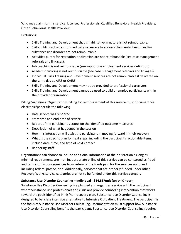Who may claim for this service: Licensed Professionals; Qualified Behavioral Health Providers; Other Behavioral Health Providers

## Exclusions:

- Skills Training and Development that is habilitative in nature is not reimbursable.
- Skill-building activities not medically necessary to address the mental health and/or substance use disorder are not reimbursable.
- Activities purely for recreation or diversion are not reimbursable (see case management referrals and linkages).
- Job coaching is not reimbursable (see supportive employment services definition).
- Academic tutoring is not reimbursable (see case management referrals and linkages).
- Individual Skills Training and Development services are not reimbursable if delivered on the same day as AIRS or CAIRS.
- Skills Training and Development may not be provided to professional caregivers.
- Skills Training and Development cannot be used to build or employ participants within the provider organization.

Billing Guidelines: Organizations billing for reimbursement of this service must document via electronic/paper file the following:

- Date service was rendered
- Start time and end time of service
- Report of the participant's status on the identified outcome measures
- Description of what happened in the session
- How this interaction will assist the participant in moving forward in their recovery
- What is the specific plan for next steps, including the participant's actionable items, include date, time, and type of next contact
- Rendering staff

Organizations can choose to include additional information at their discretion as long as minimal requirements are met. Inappropriate billing of this service can be construed as fraud and can result in consequences from return of the funds paid for the services up to and including federal prosecution. Additionally, services that are properly funded under other Recovery Works service categories are not to be funded under this service category.

#### **Substance Use Disorder Counseling – Individual - \$14.58/unit (unit= ¼ hour)**

Substance Use Disorder Counseling is a planned and organized service with the participant, where Substance Use professionals and clinicians provide counseling intervention that works toward the goals identified in his/her recovery plan. Substance Use Disorder Counseling is designed to be a less intensive alternative to Intensive Outpatient Treatment. The participant is the focus of Substance Use Disorder Counseling. Documentation must support how Substance Use Disorder Counseling benefits the participant. Substance Use Disorder Counseling requires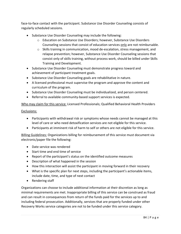face-to-face contact with the participant. Substance Use Disorder Counseling consists of regularly scheduled sessions.

- Substance Use Disorder Counseling may include the following:
	- o Education on Substance Use Disorders; however, Substance Use Disorders Counseling sessions that consist of education services only are not reimbursable.
	- o Skills training in communication, mood de-escalation, stress management, and relapse prevention; however, Substance Use Disorder Counseling sessions that consist only of skills training, without process work, should be billed under Skills Training and Development.
- Substance Use Disorder Counseling must demonstrate progress toward and achievement of participant treatment goals.
- Substance Use Disorder Counseling goals are rehabilitative in nature.
- A licensed professional must supervise the program and approve the content and curriculum of the program.
- Substance Use Disorder Counseling must be individualized, and person centered.
- Referral to available community-based support services is expected.

Who may claim for this service: Licensed Professionals; Qualified Behavioral Health Providers

#### Exclusions:

- Participants with withdrawal risk or symptoms whose needs cannot be managed at this level of care or who need detoxification services are not eligible for this service.
- Participants at imminent risk of harm to self or others are not eligible for this service.

Billing Guidelines: Organizations billing for reimbursement of this service must document via electronic/paper file the following:

- Date service was rendered
- Start time and end time of service
- Report of the participant's status on the identified outcome measures
- Description of what happened in the session
- How this interaction will assist the participant in moving forward in their recovery
- What is the specific plan for next steps, including the participant's actionable items, include date, time, and type of next contact
- Rendering staff

Organizations can choose to include additional information at their discretion as long as minimal requirements are met. Inappropriate billing of this service can be construed as fraud and can result in consequences from return of the funds paid for the services up to and including federal prosecution. Additionally, services that are properly funded under other Recovery Works service categories are not to be funded under this service category.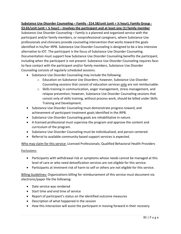# **Substance Use Disorder Counseling – Family - \$14.58/unit (unit = ¼ hour); Family Group - \$3.65/unit (unit = ¼ hour) – Involves the participant and at least one (1) family member**

Substance Use Disorder Counseling – Family is a planned and organized service with the participant and/or family members, or nonprofessional caregivers, where Substance Use professionals and clinicians provide counseling intervention that works toward the goals identified in his/her IRPB. Substance Use Disorder Counseling is designed to be a less intensive alternative to IOT. The participant is the focus of Substance Use Disorder Counseling. Documentation must support how Substance Use Disorder Counseling benefits the participant, including when the participant is not present. Substance Use Disorder Counseling requires faceto-face contact with the participant and/or family members. Substance Use Disorder Counseling consists of regularly scheduled sessions.

- Substance Use Disorder Counseling may include the following:
	- o Education on Substance Use Disorders; however, Substance Use Disorder Counseling sessions that consist of education services only are not reimbursable.
	- o Skills training in communication, anger management, stress management, and relapse prevention; however, Substance Use Disorder Counseling sessions that consist only of skills training, without process work, should be billed under Skills Training and Development.
- Substance Use Disorder Counseling must demonstrate progress toward, and achievement of participant treatment goals identified in the IRPB.
- Substance Use Disorder Counseling goals are rehabilitative in nature.
- A licensed professional must supervise the program and approve the content and curriculum of the program.
- Substance Use Disorder Counseling must be individualized, and person centered.
- Referral to available community-based support services is expected.

Who may claim for this service: Licensed Professionals; Qualified Behavioral Health Providers

#### Exclusions:

- Participants with withdrawal risk or symptoms whose needs cannot be managed at this level of care or who need detoxification services are not eligible for this service.
- Participants at imminent risk of harm to self or others are not eligible for this service.

- Date service was rendered
- Start time and end time of service
- Report of participant's status on the identified outcome measures
- Description of what happened in the session
- How this interaction will assist the participant in moving forward in their recovery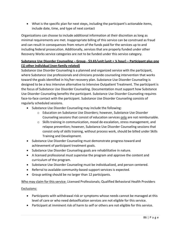• What is the specific plan for next steps, including the participant's actionable items, include date, time, and type of next contact

Organizations can choose to include additional information at their discretion as long as minimal requirements are met. Inappropriate billing of this service can be construed as fraud and can result in consequences from return of the funds paid for the services up to and including federal prosecution. Additionally, services that are properly funded under other Recovery Works service categories are not to be funded under this service category.

# **Substance Use Disorder Counseling – Group - \$3.65/unit (unit = ¼ hour) – Participant plus one (1) other individual (non-family related)**

Substance Use Disorder Counseling is a planned and organized service with the participant, where Substance Use professionals and clinicians provide counseling intervention that works toward the goals identified in his/her recovery plan. Substance Use Disorder Counseling is designed to be a less intensive alternative to Intensive Outpatient Treatment. The participant is the focus of Substance Use Disorder Counseling. Documentation must support how Substance Use Disorder Counseling benefits the participant. Substance Use Disorder Counseling requires face-to-face contact with the participant. Substance Use Disorder Counseling consists of regularly scheduled sessions.

- Substance Use Disorder Counseling may include the following:
	- o Education on Substance Use Disorders; however, Substance Use Disorder Counseling sessions that consist of education services only are not reimbursable.
	- $\circ$  Skills training in communication, mood de-escalation, stress management, and relapse prevention; however, Substance Use Disorder Counseling sessions that consist only of skills training, without process work, should be billed under Skills Training and Development.
- Substance Use Disorder Counseling must demonstrate progress toward and achievement of participant treatment goals.
- Substance Use Disorder Counseling goals are rehabilitative in nature.
- A licensed professional must supervise the program and approve the content and curriculum of the program.
- Substance Use Disorder Counseling must be individualized, and person centered.
- Referral to available community-based support services is expected.
- Group setting should be no larger than 12 participants.

Who may claim for this service: Licensed Professionals; Qualified Behavioral Health Providers

#### Exclusions:

- Participants with withdrawal risk or symptoms whose needs cannot be managed at this level of care or who need detoxification services are not eligible for this service.
- Participant at imminent risk of harm to self or others are not eligible for this service.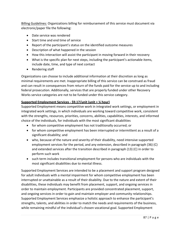Billing Guidelines: Organizations billing for reimbursement of this service must document via electronic/paper file the following:

- Date service was rendered
- Start time and end time of service
- Report of the participant's status on the identified outcome measures
- Description of what happened in the session
- How this interaction will assist the participant in moving forward in their recovery
- What is the specific plan for next steps, including the participant's actionable items, include date, time, and type of next contact
- Rendering staff

Organizations can choose to include additional information at their discretion as long as minimal requirements are met. Inappropriate billing of this service can be construed as fraud and can result in consequences from return of the funds paid for the service up to and including federal prosecution. Additionally, services that are properly funded under other Recovery Works service categories are not to be funded under this service category.

#### **Supported Employment Services - \$9.17/unit (unit = ¼ hour)**

Supported Employment means competitive work in integrated work settings, or employment in integrated work settings, in which individuals are working toward competitive work, consistent with the strengths, resources, priorities, concerns, abilities, capabilities, interests, and informed choice of the individuals, for individuals with the most significant disabilities

- for whom competitive employment has not traditionally occurred; or
- for whom competitive employment has been interrupted or intermittent as a result of a significant disability; and
- who, because of the nature and severity of their disability, need intensive supported employment services for the period, and any extension, described in paragraph (36) (C) and extended services after the transition described in paragraph (13) (C) in order to perform such work
- such term includes transitional employment for persons who are individuals with the most significant disabilities due to mental illness.

Supported Employment Services are intended to be a placement and support program designed for adult individuals with a mental impairment for whom competitive employment has been interrupted or unattainable as a result of their disability. Due to the nature and extent of their disabilities, these individuals may benefit from placement, support, and ongoing services in order to maintain employment. Participants are provided concentrated placement, support, and ongoing services in order to gain and maintain employer and community relationships. Supported Employment Services emphasize a holistic approach to enhance the participant's strengths, talents, and abilities in order to match the needs and requirements of the business, while remaining mindful of the individual's chosen vocational goal. Supported Employment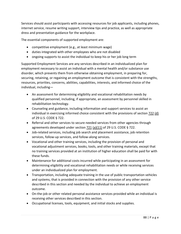Services should assist participants with accessing resources for job applicants, including phones, internet service, resume writing support, interview tips and practice, as well as appropriate dress and presentation guidance for the workplace.

The essential components of supported employment are:

- competitive employment (e.g., at least minimum wage)
- duties integrated with other employees who are not disabled
- ongoing supports to assist the individual to keep his or her job long term

Supported Employment Services are any services described in an individualized plan for employment necessary to assist an individual with a mental health and/or substance use disorder, which prevents them from otherwise obtaining employment, in preparing for, securing, retaining, or regaining an employment outcome that is consistent with the strengths, resources, priorities, concerns, abilities, capabilities, interests, and informed choice of the individual, including—

- An assessment for determining eligibility and vocational rehabilitation needs by qualified personnel, including, if appropriate, an assessment by personnel skilled in rehabilitation technology.
- Counseling and guidance, including information and support services to assist an individual in exercising informed choice consistent with the provisions of section 722 (d) of 29 U.S. CODE § 722.
- Referral and other services to secure needed services from other agencies through agreements developed under section 721 (a)(11) of 29 U.S. CODE § 722.
- Job-related services, including job search and placement assistance, job retention services, follow-up services, and follow-along services.
- Vocational and other training services, including the provision of personal and vocational adjustment services, books, tools, and other training materials, except that no training services provided at an institution of higher education shall be paid for with these funds.
- Maintenance for additional costs incurred while participating in an assessment for determining eligibility and vocational rehabilitation needs or while receiving services under an individualized plan for employment.
- Transportation, including adequate training in the use of public transportation vehicles and systems, that is provided in connection with the provision of any other service described in this section and needed by the individual to achieve an employment outcome.
- On-the-job or other related personal assistance services provided while an individual is receiving other services described in this section.
- Occupational licenses, tools, equipment, and initial stocks and supplies.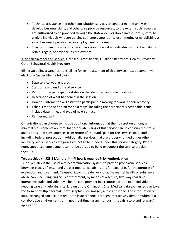- Technical assistance and other consultation services to conduct market analyses, develop business plans, and otherwise provide resources, to the extent such resources are authorized to be provided through the statewide workforce investment system, to eligible individuals who are pursing self-employment or telecommuting or establishing a small business operation as an employment outcome.
- Specific post-employment services necessary to assist an individual with a disability to retain, regain, or advance in employment.

Who can claim for this service: Licensed Professionals; Qualified Behavioral Health Providers; Other Behavioral Health Providers

Billing Guidelines: Organizations billing for reimbursement of this service must document via electronic/paper file the following:

- Date service was rendered
- Start time and end time of service
- Report of the participant's status on the identified outcome measures
- Description of what happened in the session
- How this interaction will assist the participant in moving forward in their recovery
- What is the specific plan for next steps, including the participant's actionable items, include date, time, and type of next contact
- Rendering staff

Organizations can choose to include additional information at their discretion as long as minimal requirements are met. Inappropriate billing of this service can be construed as fraud and can result in consequences from return of the funds paid for the services up to and including federal prosecution. Additionally, services that are properly funded under other Recovery Works service categories are not to be funded under this service category. Please note, supported employment cannot be utilized to build or support the service provider organization.

#### **Telepsychiatry - \$23.88/unit (unit = ¼ hour); requires Prior Authorization**

Telepsychiatry is the use of a telecommunication system to provide psychiatric services between places of lesser and greater medical capability and/or expertise, for the purpose of evaluation and treatment. Telepsychiatry is the delivery of acute mental health or substance abuse care, including diagnosis or treatment, by means of a secure, two-way real-time interactive audio and video by a health care provider in a remote location to an individual needing care at a referring site, known as the Originating Site. Medical data exchanged can take the form of multiple formats: text, graphics, still images, audio and video. The information or data exchanged can occur in real-time (synchronous) through interactive video or multimedia collaborative environments or in near real-time (asynchronous) through "store and forward" applications.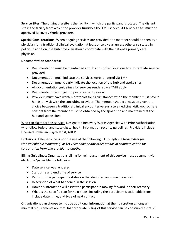**Service Sites:** The originating site is the facility in which the participant is located. The distant site is the facility from which the provider furnishes the TMH service. All services sites **must** be approved Recovery Works providers.

**Special Considerations:** When ongoing services are provided, the member should be seen by a physician for a traditional clinical evaluation at least once a year, unless otherwise stated in policy. In addition, the hub physician should coordinate with the patient's primary care physician.

# **Documentation Standards:**

- Documentation must be maintained at hub and spoken locations to substantiate service provided.
- Documentation must indicate the services were rendered via TMH.
- Documentation must clearly indicate the location of the hub and spoke sites.
- All documentation guidelines for services rendered via TMH apply.
- Documentation is subject to post-payment review.
- Providers must have written protocols for circumstances when the member must have a hands-on visit with the consulting provider. The member should always be given the choice between a traditional clinical encounter versus a telemedicine visit. Appropriate consent from the member must be obtained by the spoke site and maintained at the hub and spoke sites.

Who can claim for this service: Designated Recovery Works Agencies with Prior Authorization who follow federal and state digital health information security guidelines. Providers include Licensed Physician, Psychiatrist, AHCP.

Exclusions: Telemedicine is not the use of the following: (1) *Telephone transmitter for transtelephonic monitoring; or* (2) *Telephone or any other means of communication for consultation from one provider to another.*

Billing Guidelines: Organizations billing for reimbursement of this service must document via electronic/paper file the following:

- Date service was rendered
- Start time and end time of service
- Report of the participant's status on the identified outcome measures
- Description of what happened in the session
- How this interaction will assist the participant in moving forward in their recovery
- What is the specific plan for next steps, including the participant's actionable items, include date, time, and type of next contact

Organizations can choose to include additional information at their discretion as long as minimal requirements are met. Inappropriate billing of this service can be construed as fraud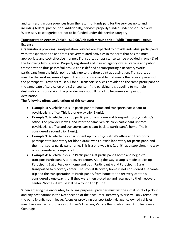and can result in consequences from the return of funds paid for the services up to and including federal prosecution. Additionally, services properly funded under other Recovery Works service categories are not to be funded under this service category.

# **Transportation Agency Vehicle - \$10.00/unit (unit = round trip); Public Transport – Actual Expense**

Organizations providing Transportation Services are expected to provide individual participants with transportation to and from recovery related activities in the form that has the most appropriate and cost-effective manner. Transportation assistance can be provided in one (1) of the following two (2) ways: Properly registered and insured agency owned vehicle and public transportation (bus passes/tokens). A trip is defined as transporting a Recovery Works participant from the initial point of pick-up to the drop point at destination. Transportation must be the least expensive type of transportation available that meets the recovery needs of the participant. Providers must bill for all transport services provided to the same participant on the same date of service on one (1) encounter If the participant is traveling to multiple destinations in succession, the provider may not bill for a trip between each point of destination.

# **The following offers explanations of this concept:**

- **Example 1:** A vehicle picks up participant at home and transports participant to psychiatrist's office. This is a one-way trip (1 unit).
- **Example 2:** A vehicle picks up participant from home and transports to psychiatrist's office. The provider leaves, and later the same vehicle picks participant up from psychiatrist's office and transports participant back to participant's home. The is considered a round trip (1 unit).
- **Example 3:** A vehicle picks participant up from psychiatrist's office and transports participant to laboratory for blood draw, waits outside laboratory for participant, and then transports participant home. This is a one-way trip (1 unit), as a stop along the way is not considered a separate trip.
- **Example 4:** A vehicle picks up Participant A at participant's home and begins to transport Participant A to recovery center. Along the way, a stop is made to pick up Participant B at a Recovery home and both Participant A and Participant B are transported to recovery center. The stop at Recovery home is not considered a separate trip and the transportation of Participant A from home to the recovery center is considered a one-way trip. If they were then picked up and returned to their recovery centers/homes, it would still be a round trip (1 unit).

When entering the encounter, for billing purposes, provider must list the initial point of pick-up and any destinations in the Note section of the encounter. Recovery Works will only reimburse the per trip unit, not mileage. Agencies providing transportation via agency owned vehicles must have on file: photocopies of Driver's Licenses, Vehicle Registration, and Auto Insurance Coverage.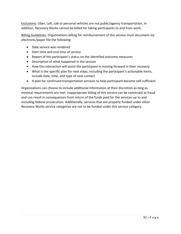Exclusions: Uber, Lyft, cab or personal vehicles are not public/agency transportation. In addition, Recovery Works cannot be billed for taking participants to and from work.

Billing Guidelines: Organizations billing for reimbursement of this service must document via electronic/paper file the following:

- Date service was rendered
- Start time and end time of service
- Report of the participant's status on the identified outcome measures
- Description of what happened in the session
- How this interaction will assist the participant in moving forward in their recovery
- What is the specific plan for next steps, including the participant's actionable items, include date, time, and type of next contact
- A plan for continued transportation services to help participant become self-sufficient

Organizations can choose to include additional information at their discretion as long as minimal requirements are met. Inappropriate billing of this service can be construed as fraud and can result in consequences from return of the funds paid for the services up to and including federal prosecution. Additionally, services that are properly funded under other Recovery Works service categories are not to be funded under this service category.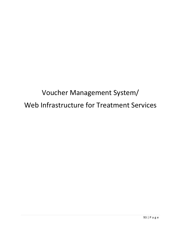# Voucher Management System/ Web Infrastructure for Treatment Services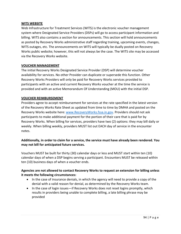#### **WITS WEBSITE**

Web Infrastructure for Treatment Services (WITS) is the electronic voucher management system where Designated Service Providers (DSPs) will go to access participant information and billing. WITS also contains a section for announcements. This section will hold announcements as posted by Recovery Works administrative staff regarding training, upcoming events, changes, WITS outages, etc. The announcements on WITS will typically be dually posted on Recovery Works public website; however, this will not always be the case. The WITS site may be accessed via the Recovery Works website.

#### **VOUCHER MANAGEMENT**

The initial Recovery Works Designated Service Provider (DSP) will determine voucher availability for services. No other Provider can duplicate or supersede this function. Other Recovery Works Providers will only be paid for Recovery Works services provided to participants with an active and current Recovery Works voucher at the time the service is provided and with an active Memorandum Of Understanding (MOU) with the initial DSP.

#### **VOUCHER REIMBURSEMENT**

Providers agree to accept reimbursement for services at the rate specified in the latest version of the Recovery Works Rate Sheet as updated from time to time by DMHA and posted on the Recovery Works website here: [www.RecoveryWorks.fssa.in.gov.](http://www.recoveryworks.fssa.in.gov/) Providers should not ask participants to make additional payment for the portion of their care that is paid for by Recovery Works. When billing for services, providers have two (2) options: they may bill daily or weekly. When billing weekly, providers MUST list out EACH day of service in the encounter notes.

# **Additionally, in order to claim for a service, the service must have already been rendered. You may not bill for anticipated future services.**

Vouchers MUST be built for thirty (30) calendar days or less and MUST start within ten (10) calendar days of when a DSP begins serving a participant. Encounters MUST be released within ten (10) business days of when a voucher ends.

#### **Agencies are not allowed to contact Recovery Works to request an extension for billing unless it meets the following circumstances:**

- In the case of insurance denials, in which the agency will need to provide a copy of the denial with a valid reason for denial, as determined by the Recovery Works team.
- In the case of login issues—if Recovery Works does not reset logins promptly, which results in providers being unable to complete billing, a late billing phrase may be provided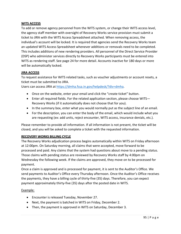## **WITS ACCESS**

To add or remove agency personnel from the WITS system, or change their WITS access level, the agency staff member with oversight of Recovery Works service provision must submit a ticket to JIRA with the WITS Access Spreadsheet attached. When removing access, the individual's account will be locked. It is required that agencies send the Recovery Works team an updated WITS Access Spreadsheet whenever additions or removals need to be completed. This includes additions of new rendering providers. All personnel of the Direct Service Provider (DSP) who administer services directly to Recovery Works participants must be entered into WITS as rendering staff. See page 24 for more detail. Accounts inactive for 180 days or more will be automatically locked.

#### **JIRA ACCESS**

To request assistance for WITS related tasks, such as voucher adjustments or account resets, a ticket must be submitted to JIRA.

Users can access JIRA at [https://dmha.fssa.in.gov/helpdesk/?div=dmha.](https://dmha.fssa.in.gov/helpdesk/?div=dmha)

- Once on the website, enter your email and click the "create ticket" button.
- Enter all required fields. For the related application section, please choose WITS— Recovery Works (if it automatically does not choose that for you).
- In the summary box, enter what you would normally put as the subject line of an email.
- For the description, you can enter the body of the email, which would include what you are requesting (ex: add units, reject encounter, WITS access, insurance denials, etc.).

Please remember to provide all information. If all information is not present, the ticket will be closed, and you will be asked to complete a ticket with the requested information.

#### **RECOVERY WORKS BILLING CYCLE**

The Recovery Works adjudication process begins automatically within WITS on Friday afternoon at 12:00pm. On Saturday morning, all claims that were accepted, move forward to be processed and paid. Any claims that the system had questions about move to a pending status. Those claims with pending status are reviewed by Recovery Works staff by 4:00pm on Wednesday the following week. If the claims are approved, they move on to be processed for payment.

Once a claim is approved and is processed for payment, it is sent to the Auditor's Office. We send payments to Auditor's Office every Thursday afternoon. Once the Auditor's Office receives the payments, they have a billing cycle of thirty-five (35) days. Therefore, you can expect payment approximately thirty-five (35) days after the posted date in WITS.

#### Example:

- Encounter is released Tuesday, November 27.
- Next, the payment is batched in WITS on Friday, December 2.
- Then, the payment is approved in WITS on Saturday, December 3.